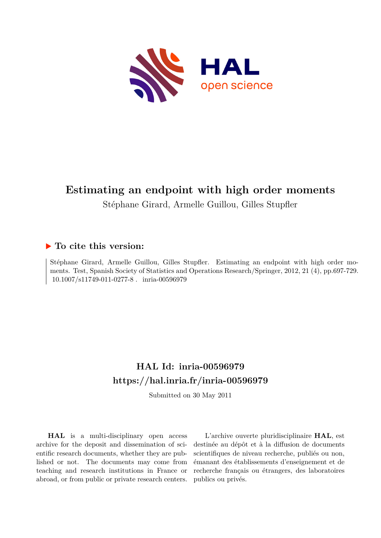

# **Estimating an endpoint with high order moments**

Stéphane Girard, Armelle Guillou, Gilles Stupfler

## **To cite this version:**

Stéphane Girard, Armelle Guillou, Gilles Stupfler. Estimating an endpoint with high order moments. Test, Spanish Society of Statistics and Operations Research/Springer, 2012, 21 (4), pp.697-729.  $10.1007/s11749-011-0277-8$ . inria-00596979

# **HAL Id: inria-00596979 <https://hal.inria.fr/inria-00596979>**

Submitted on 30 May 2011

**HAL** is a multi-disciplinary open access archive for the deposit and dissemination of scientific research documents, whether they are published or not. The documents may come from teaching and research institutions in France or abroad, or from public or private research centers.

L'archive ouverte pluridisciplinaire **HAL**, est destinée au dépôt et à la diffusion de documents scientifiques de niveau recherche, publiés ou non, émanant des établissements d'enseignement et de recherche français ou étrangers, des laboratoires publics ou privés.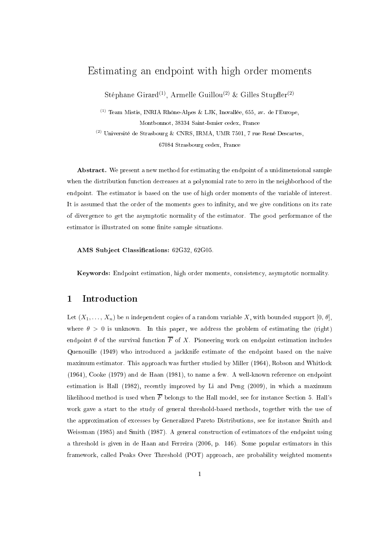## Estimating an endpoint with high order moments

Stéphane Girard<sup>(1)</sup>, Armelle Guillou<sup>(2)</sup> & Gilles Stupfler<sup>(2)</sup>

<sup>(1)</sup> Team Mistis, INRIA Rhône-Alpes & LJK, Inovallée, 655, av. de l'Europe, Montbonnot, 38334 Saint-Ismier cedex, France

<sup>(2)</sup> Université de Strasbourg & CNRS, IRMA, UMR 7501, 7 rue René Descartes,

67084 Strasbourg cedex, France

Abstract. We present a new method for estimating the endpoint of a unidimensional sample when the distribution function decreases at a polynomial rate to zero in the neighborhood of the endpoint. The estimator is based on the use of high order moments of the variable of interest. It is assumed that the order of the moments goes to infinity, and we give conditions on its rate of divergence to get the asymptotic normality of the estimator. The good performance of the estimator is illustrated on some finite sample situations.

AMS Subject Classifications: 62G32, 62G05.

Keywords: Endpoint estimation, high order moments, consistency, asymptotic normality.

## 1 Introduction

Let  $(X_1, \ldots, X_n)$  be n independent copies of a random variable X, with bounded support  $[0, \theta]$ , where  $\theta > 0$  is unknown. In this paper, we address the problem of estimating the (right) endpoint  $\theta$  of the survival function  $\overline{F}$  of X. Pioneering work on endpoint estimation includes Quenouille (1949) who introduced a jackknife estimate of the endpoint based on the naive maximum estimator. This approach was further studied by Miller (1964), Robson and Whitlock (1964), Cooke (1979) and de Haan (1981), to name a few. A well-known reference on endpoint estimation is Hall (1982), recently improved by Li and Peng (2009), in which a maximum likelihood method is used when  $\overline{F}$  belongs to the Hall model, see for instance Section 5. Hall's work gave a start to the study of general threshold-based methods, together with the use of the approximation of excesses by Generalized Pareto Distributions, see for instance Smith and Weissman (1985) and Smith (1987). A general construction of estimators of the endpoint using a threshold is given in de Haan and Ferreira (2006, p. 146). Some popular estimators in this framework, called Peaks Over Threshold (POT) approach, are probability weighted moments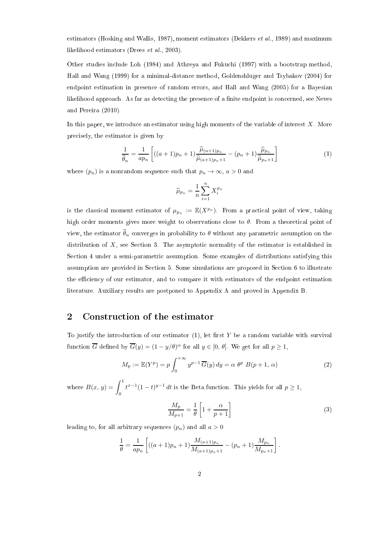estimators (Hosking and Wallis, 1987), moment estimators (Dekkers et al., 1989) and maximum likelihood estimators (Drees et al., 2003).

Other studies include Loh (1984) and Athreya and Fukuchi (1997) with a bootstrap method, Hall and Wang (1999) for a minimal-distance method, Goldenshluger and Tsybakov (2004) for endpoint estimation in presence of random errors, and Hall and Wang (2005) for a Bayesian likelihood approach. As far as detecting the presence of a finite endpoint is concerned, see Neves and Pereira (2010).

In this paper, we introduce an estimator using high moments of the variable of interest  $X$ . More precisely, the estimator is given by

$$
\frac{1}{\hat{\theta}_n} = \frac{1}{ap_n} \left[ ((a+1)p_n + 1) \frac{\hat{\mu}_{(a+1)p_n}}{\hat{\mu}_{(a+1)p_n+1}} - (p_n + 1) \frac{\hat{\mu}_{p_n}}{\hat{\mu}_{p_n+1}} \right] \tag{1}
$$

where  $(p_n)$  is a nonrandom sequence such that  $p_n \to \infty$ ,  $a > 0$  and

$$
\widehat{\mu}_{p_n} = \frac{1}{n} \sum_{i=1}^n X_i^{p_n}
$$

is the classical moment estimator of  $\mu_{p_n} := \mathbb{E}(X^{p_n})$ . From a practical point of view, taking high order moments gives more weight to observations close to  $\theta$ . From a theoretical point of view, the estimator  $\widehat{\theta}_n$  converges in probability to  $\theta$  without any parametric assumption on the distribution of  $X$ , see Section 3. The asymptotic normality of the estimator is established in Section 4 under a semi-parametric assumption. Some examples of distributions satisfying this assumption are provided in Section 5. Some simulations are proposed in Section 6 to illustrate the efficiency of our estimator, and to compare it with estimators of the endpoint estimation literature. Auxiliary results are postponed to Appendix A and proved in Appendix B.

#### 2 Construction of the estimator

To justify the introduction of our estimator  $(1)$ , let first Y be a random variable with survival function  $\overline{G}$  defined by  $\overline{G}(y) = (1 - y/\theta)^{\alpha}$  for all  $y \in [0, \theta]$ . We get for all  $p \ge 1$ ,

$$
M_p := \mathbb{E}(Y^p) = p \int_0^{+\infty} y^{p-1} \overline{G}(y) dy = \alpha \theta^p B(p+1, \alpha)
$$
 (2)

where  $B(x, y) = \int_0^1$ 0  $t^{x-1}(1-t)^{y-1}$  dt is the Beta function. This yields for all  $p \ge 1$ ,

$$
\frac{M_p}{M_{p+1}} = \frac{1}{\theta} \left[ 1 + \frac{\alpha}{p+1} \right] \tag{3}
$$

leading to, for all arbitrary sequences  $(p_n)$  and all  $a > 0$ 

$$
\frac{1}{\theta} = \frac{1}{ap_n} \left[ ((a+1)p_n + 1) \frac{M_{(a+1)p_n}}{M_{(a+1)p_n+1}} - (p_n + 1) \frac{M_{p_n}}{M_{p_n+1}} \right].
$$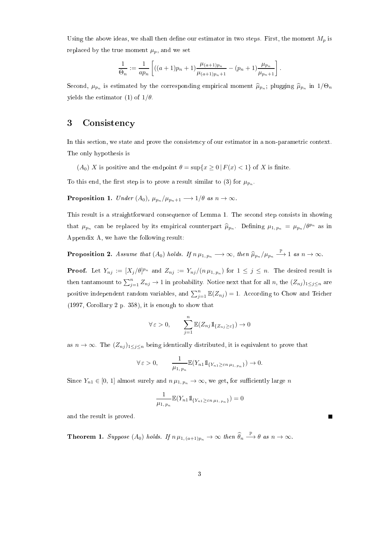Using the above ideas, we shall then define our estimator in two steps. First, the moment  $M_p$  is replaced by the true moment  $\mu_p$ , and we set

$$
\frac{1}{\Theta_n} := \frac{1}{ap_n} \left[ ((a+1)p_n + 1) \frac{\mu_{(a+1)p_n}}{\mu_{(a+1)p_n + 1}} - (p_n + 1) \frac{\mu_{p_n}}{\mu_{p_n + 1}} \right].
$$

Second,  $\mu_{p_n}$  is estimated by the corresponding empirical moment  $\widehat{\mu}_{p_n}$ ; plugging  $\widehat{\mu}_{p_n}$  in  $1/\Theta_n$ yields the estimator (1) of  $1/\theta$ .

## 3 Consistency

In this section, we state and prove the consistency of our estimator in a non-parametric context. The only hypothesis is

 $(A_0)$  X is positive and the endpoint  $\theta = \sup\{x \ge 0 \mid F(x) < 1\}$  of X is finite.

To this end, the first step is to prove a result similar to (3) for  $\mu_{p_n}$ .

**Proposition 1.** Under  $(A_0)$ ,  $\mu_{p_n}/\mu_{p_n+1} \longrightarrow 1/\theta$  as  $n \to \infty$ .

This result is a straightforward consequence of Lemma 1. The second step consists in showing that  $\mu_{p_n}$  can be replaced by its empirical counterpart  $\widehat{\mu}_{p_n}$ . Defining  $\mu_{1, p_n} = \mu_{p_n}/\theta^{p_n}$  as in Appendix A, we have the following result:

**Proposition 2.** Assume that  $(A_0)$  holds. If  $n \mu_{1, p_n} \longrightarrow \infty$ , then  $\widehat{\mu}_{p_n}/\mu_{p_n} \stackrel{\mathbb{P}}{\longrightarrow} 1$  as  $n \to \infty$ .

**Proof.** Let  $Y_{nj} := [X_j/\theta]^{p_n}$  and  $Z_{nj} := Y_{nj}/(n\,\mu_{1,p_n})$  for  $1 \leq j \leq n$ . The desired result is then tantamount to  $\sum_{j=1}^{n} Z_{nj} \to 1$  in probability. Notice next that for all n, the  $(Z_{nj})_{1 \leq j \leq n}$  are positive independent random variables, and  $\sum_{j=1}^{n} \mathbb{E}(Z_{nj}) = 1$ . According to Chow and Teicher (1997, Corollary 2 p. 358), it is enough to show that

$$
\forall \varepsilon > 0, \qquad \sum_{j=1}^{n} \mathbb{E}(Z_{nj} 1\!\!1_{\{Z_{nj} \ge \varepsilon\}}) \to 0
$$

as  $n \to \infty$ . The  $(Z_{nj})_{1 \leq j \leq n}$  being identically distributed, it is equivalent to prove that

$$
\forall \varepsilon > 0, \qquad \frac{1}{\mu_{1,\,p_n}} \mathbb{E}(Y_{n1}1\!\!1_{\{Y_{n1} \ge \varepsilon n \mu_{1,\,p_n}\}}) \to 0.
$$

Since  $Y_{n1} \in [0, 1]$  almost surely and  $n \mu_{1, p_n} \to \infty$ , we get, for sufficiently large n

$$
\frac{1}{\mu_{1,\,p_n}}\mathbb{E}(Y_{n1}\mathbb{1}_{\{Y_{n1}\geq \varepsilon n \mu_{1,\,p_n}\}})=0
$$

and the result is proved.

Theorem 1. Suppose  $(A_0)$  holds. If  $n\,\mu_{1,\,(a+1)p_n}\to\infty$  then  $\widehat\theta_n\overset{\mathbb{P}}{\longrightarrow}\theta$  as  $n\to\infty$ .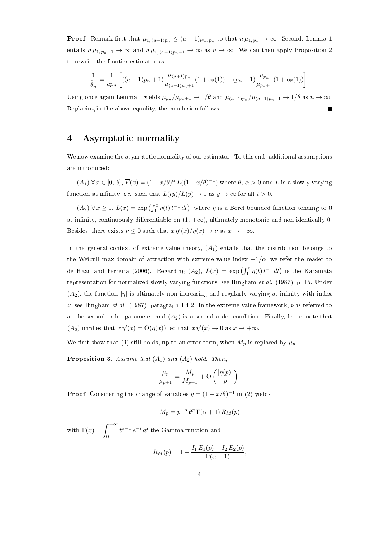**Proof.** Remark first that  $\mu_{1,(a+1)p_n} \leq (a+1)\mu_{1,\,p_n}$  so that  $n\,\mu_{1,\,p_n} \to \infty$ . Second, Lemma 1 entails  $n \mu_{1, p_n+1} \to \infty$  and  $n \mu_{1, (a+1)p_n+1} \to \infty$  as  $n \to \infty$ . We can then apply Proposition 2 to rewrite the frontier estimator as

$$
\frac{1}{\widehat{\theta}_n} = \frac{1}{ap_n} \left[ ((a+1)p_n + 1) \frac{\mu_{(a+1)p_n}}{\mu_{(a+1)p_n+1}} (1 + o_{\mathbb{P}}(1)) - (p_n + 1) \frac{\mu_{p_n}}{\mu_{p_n+1}} (1 + o_{\mathbb{P}}(1)) \right].
$$

Using once again Lemma 1 yields  $\mu_{p_n}/\mu_{p_n+1} \to 1/\theta$  and  $\mu_{(a+1)p_n}/\mu_{(a+1)p_n+1} \to 1/\theta$  as  $n \to \infty$ . Replacing in the above equality, the conclusion follows.

### 4 Asymptotic normality

We now examine the asymptotic normality of our estimator. To this end, additional assumptions are introduced:

 $(A_1) \forall x \in [0, \theta], \overline{F}(x) = (1 - x/\theta)^{\alpha} L((1 - x/\theta)^{-1})$  where  $\theta, \alpha > 0$  and L is a slowly varying function at infinity, *i.e.* such that  $L(ty)/L(y) \to 1$  as  $y \to \infty$  for all  $t > 0$ .

 $(A_2) \forall x \geq 1, L(x) = \exp\left(\int_1^x \eta(t) t^{-1} dt\right)$ , where  $\eta$  is a Borel bounded function tending to 0 at infinity, continuously differentiable on  $(1, +\infty)$ , ultimately monotonic and non identically 0. Besides, there exists  $\nu \leq 0$  such that  $x \eta'(x)/\eta(x) \to \nu$  as  $x \to +\infty$ .

In the general context of extreme-value theory,  $(A_1)$  entails that the distribution belongs to the Weibull max-domain of attraction with extreme-value index  $-1/\alpha$ , we refer the reader to de Haan and Ferreira (2006). Regarding  $(A_2)$ ,  $L(x) = \exp\left(\int_1^x \eta(t) t^{-1} dt\right)$  is the Karamata representation for normalized slowly varying functions, see Bingham et al. (1987), p. 15. Under  $(A_2)$ , the function  $|\eta|$  is ultimately non-increasing and regularly varying at infinity with index  $ν$ , see Bingham *et al.* (1987), paragraph 1.4.2. In the extreme-value framework,  $ν$  is referred to as the second order parameter and  $(A_2)$  is a second order condition. Finally, let us note that  $(A_2)$  implies that  $x \eta'(x) = O(\eta(x))$ , so that  $x \eta'(x) \to 0$  as  $x \to +\infty$ .

We first show that (3) still holds, up to an error term, when  $M_p$  is replaced by  $\mu_p$ .

**Proposition 3.** Assume that  $(A_1)$  and  $(A_2)$  hold. Then,

$$
\frac{\mu_p}{\mu_{p+1}} = \frac{M_p}{M_{p+1}} + \mathcal{O}\left(\frac{|\eta(p)|}{p}\right).
$$

**Proof.** Considering the change of variables  $y = (1 - x/\theta)^{-1}$  in (2) yields

$$
M_p = p^{-\alpha} \theta^p \Gamma(\alpha + 1) R_M(p)
$$

with  $\Gamma(x) = \int^{+\infty}$ 0  $t^{x-1}e^{-t}$  dt the Gamma function and

$$
R_M(p) = 1 + \frac{I_1 E_1(p) + I_2 E_2(p)}{\Gamma(\alpha + 1)},
$$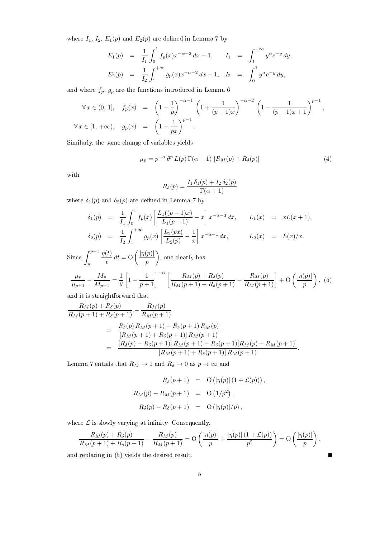where  $I_1$ ,  $I_2$ ,  $E_1(p)$  and  $E_2(p)$  are defined in Lemma 7 by

$$
E_1(p) = \frac{1}{I_1} \int_0^1 f_p(x) x^{-\alpha - 2} dx - 1, \qquad I_1 = \int_1^{+\infty} y^{\alpha} e^{-y} dy,
$$
  

$$
E_2(p) = \frac{1}{I_2} \int_1^{+\infty} g_p(x) x^{-\alpha - 2} dx - 1, \quad I_2 = \int_0^1 y^{\alpha} e^{-y} dy,
$$

and where  $f_p,\,g_p$  are the functions introduced in Lemma 6:

$$
\forall x \in (0, 1], \quad f_p(x) = \left(1 - \frac{1}{p}\right)^{-\alpha - 1} \left(1 + \frac{1}{(p - 1)x}\right)^{-\alpha - 2} \left(1 - \frac{1}{(p - 1)x + 1}\right)^{p - 1},
$$
  

$$
\forall x \in [1, +\infty), \quad g_p(x) = \left(1 - \frac{1}{px}\right)^{p - 1}.
$$

Similarly, the same change of variables yields

$$
\mu_p = p^{-\alpha} \theta^p L(p) \Gamma(\alpha + 1) \left[ R_M(p) + R_\delta(p) \right] \tag{4}
$$

with

$$
R_{\delta}(p) = \frac{I_1 \,\delta_1(p) + I_2 \,\delta_2(p)}{\Gamma(\alpha + 1)}
$$

where  $\delta_1(p)$  and  $\delta_2(p)$  are defined in Lemma 7 by

$$
\delta_1(p) = \frac{1}{I_1} \int_0^1 f_p(x) \left[ \frac{L_1((p-1)x)}{L_1(p-1)} - x \right] x^{-\alpha-3} dx, \qquad L_1(x) = xL(x+1),
$$
  

$$
\delta_2(p) = \frac{1}{I_2} \int_1^{+\infty} g_p(x) \left[ \frac{L_2(px)}{L_2(p)} - \frac{1}{x} \right] x^{-\alpha-1} dx, \qquad L_2(x) = L(x)/x.
$$

Since 
$$
\int_{p}^{p+1} \frac{\eta(t)}{t} dt = O\left(\frac{|\eta(p)|}{p}\right)
$$
, one clearly has  

$$
\frac{\mu_p}{\mu_{p+1}} - \frac{M_p}{M_{p+1}} = \frac{1}{\theta} \left[1 - \frac{1}{p+1}\right]^{-\alpha} \left[\frac{R_M(p) + R_\delta(p)}{R_M(p+1) + R_\delta(p+1)} - \frac{R_M(p)}{R_M(p+1)}\right] + O\left(\frac{|\eta(p)|}{p}\right)
$$
, (5)

and it is straightforward that

$$
\frac{R_M(p) + R_\delta(p)}{R_M(p+1) + R_\delta(p+1)} - \frac{R_M(p)}{R_M(p+1)}
$$
\n
$$
= \frac{R_\delta(p) R_M(p+1) - R_\delta(p+1) R_M(p)}{[R_M(p+1) + R_\delta(p+1)] R_M(p+1)}
$$
\n
$$
= \frac{[R_\delta(p) - R_\delta(p+1)] R_M(p+1) - R_\delta(p+1)[R_M(p) - R_M(p+1)]}{[R_M(p+1) + R_\delta(p+1)] R_M(p+1)}.
$$

Lemma 7 entails that  $R_M \rightarrow 1$  and  $R_\delta \rightarrow 0$  as  $p \rightarrow \infty$  and

$$
R_{\delta}(p+1) = O(|\eta(p)| (1 + \mathcal{L}(p))),
$$
  
\n
$$
R_M(p) - R_M(p+1) = O(1/p^2),
$$
  
\n
$$
R_{\delta}(p) - R_{\delta}(p+1) = O(|\eta(p)|/p),
$$

where  $\mathcal L$  is slowly varying at infinity. Consequently,

$$
\frac{R_M(p) + R_\delta(p)}{R_M(p+1) + R_\delta(p+1)} - \frac{R_M(p)}{R_M(p+1)} = O\left(\frac{|\eta(p)|}{p} + \frac{|\eta(p)| (1 + \mathcal{L}(p))}{p^2}\right) = O\left(\frac{|\eta(p)|}{p}\right),
$$
\nI replacing in (5) yields the desired result.

and replacing in (5) yields the desired result.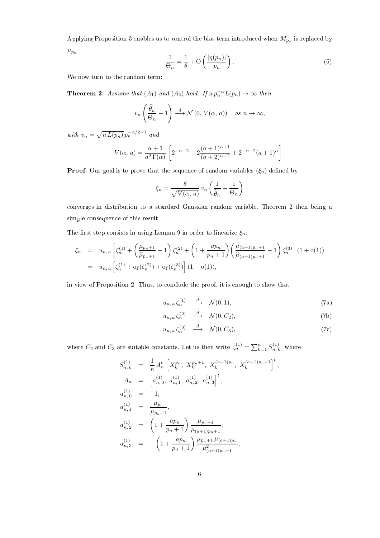Applying Proposition 3 enables us to control the bias term introduced when  $M_{p_n}$  is replaced by  $\mu_{p_n}$ .

$$
\frac{1}{\Theta_n} = \frac{1}{\theta} + \mathcal{O}\left(\frac{|\eta(p_n)|}{p_n}\right). \tag{6}
$$

We now turn to the random term:

**Theorem 2.** Assume that  $(A_1)$  and  $(A_2)$  hold. If  $n p_n^{-\alpha} L(p_n) \to \infty$  then

$$
v_n\left(\frac{\widehat{\theta}_n}{\Theta_n} - 1\right) \stackrel{d}{\longrightarrow} \mathcal{N}\left(0, V(\alpha, a)\right) \quad \text{as } n \to \infty,
$$

with  $v_n = \sqrt{n L(p_n)} p_n^{-\alpha/2+1}$  and

$$
V(\alpha, a) = \frac{\alpha + 1}{a^2 \Gamma(\alpha)} \left[ 2^{-\alpha - 2} - 2 \frac{(a+1)^{\alpha+1}}{(a+2)^{\alpha+2}} + 2^{-\alpha-2} (a+1)^{\alpha} \right].
$$

**Proof.** Our goal is to prove that the sequence of random variables  $(\xi_n)$  defined by

$$
\xi_n = \frac{\theta}{\sqrt{V(\alpha, a)}} v_n \left( \frac{1}{\hat{\theta}_n} - \frac{1}{\Theta_n} \right)
$$

converges in distribution to a standard Gaussian random variable, Theorem 2 then being a simple consequence of this result.

The first step consists in using Lemma 9 in order to linearize  $\xi_n$ :

$$
\xi_n = u_{n,a} \left[ \zeta_n^{(1)} + \left( \frac{\mu_{p_n+1}}{\hat{\mu}_{p_n+1}} - 1 \right) \zeta_n^{(2)} + \left( 1 + \frac{ap_n}{p_n+1} \right) \left( \frac{\mu_{(a+1)p_n+1}}{\hat{\mu}_{(a+1)p_n+1}} - 1 \right) \zeta_n^{(3)} \right] (1 + o(1))
$$
  
=  $u_{n,a} \left[ \zeta_n^{(1)} + o_{\mathbb{P}}(\zeta_n^{(2)}) + o_{\mathbb{P}}(\zeta_n^{(3)}) \right] (1 + o(1)),$ 

in view of Proposition 2. Thus, to conclude the proof, it is enough to show that

$$
u_{n,a}\zeta_n^{(1)} \quad \stackrel{d}{\longrightarrow} \quad \mathcal{N}(0,1),\tag{7a}
$$

$$
u_{n,a}\zeta_n^{(2)} \quad \xrightarrow{d} \quad \mathcal{N}(0,C_2),\tag{7b}
$$

$$
u_{n,a}\zeta_n^{(3)} \quad \xrightarrow{d} \quad \mathcal{N}(0,C_3),\tag{7c}
$$

,

where  $C_2$  and  $C_3$  are suitable constants. Let us then write  $\zeta_n^{(1)} = \sum_{k=1}^n S_{n,k}^{(1)}$  $n, k$ , where

$$
S_{n,k}^{(1)} = \frac{1}{n} A_n^t \left[ X_k^{p_n}, X_k^{p_n+1}, X_k^{(a+1)p_n}, X_k^{(a+1)p_n+1} \right]^t
$$
  
\n
$$
A_n = \left[ a_{n,0}^{(1)}, a_{n,1}^{(1)}, a_{n,2}^{(1)}, a_{n,3}^{(1)} \right]^t,
$$
  
\n
$$
a_{n,0}^{(1)} = -1,
$$
  
\n
$$
a_{n,1}^{(1)} = \frac{\mu_{p_n}}{\mu_{p_n+1}},
$$
  
\n
$$
a_{n,2}^{(1)} = \left( 1 + \frac{ap_n}{p_n+1} \right) \frac{\mu_{p_n+1}}{\mu_{(a+1)p_n+1}},
$$
  
\n
$$
a_{n,3}^{(1)} = -\left( 1 + \frac{ap_n}{p_n+1} \right) \frac{\mu_{p_n+1}\mu_{(a+1)p_n}}{\mu_{(a+1)p_n+1}^2},
$$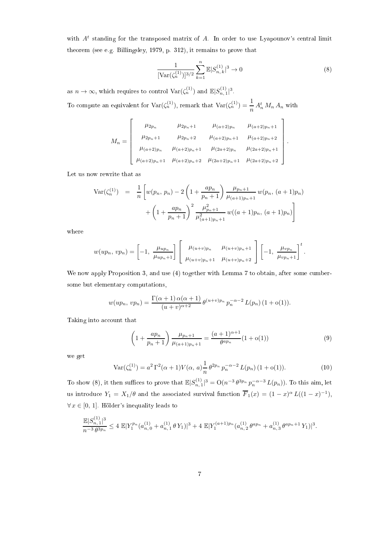with  $A<sup>t</sup>$  standing for the transposed matrix of A. In order to use Lyapounov's central limit theorem (see e.g. Billingsley, 1979, p. 312), it remains to prove that

$$
\frac{1}{\left[\text{Var}(\zeta_n^{(1)})\right]^{3/2}} \sum_{k=1}^n \mathbb{E} |S_{n,k}^{(1)}|^3 \to 0 \tag{8}
$$

.

as  $n \to \infty$ , which requires to control  $\text{Var}(\zeta_n^{(1)})$  and  $\mathbb{E}|S_{n,1}^{(1)}|^3$ .

To compute an equivalent for  $\text{Var}(\zeta_n^{(1)})$ , remark that  $\text{Var}(\zeta_n^{(1)}) = \frac{1}{n} A_n^t M_n A_n$  with

$$
M_n = \begin{bmatrix} \mu_{2p_n} & \mu_{2p_n+1} & \mu_{(a+2)p_n} & \mu_{(a+2)p_n+1} \\ \mu_{2p_n+1} & \mu_{2p_n+2} & \mu_{(a+2)p_n+1} & \mu_{(a+2)p_n+2} \\ \mu_{(a+2)p_n} & \mu_{(a+2)p_n+1} & \mu_{(2a+2)p_n} & \mu_{(2a+2)p_n+1} \\ \mu_{(a+2)p_n+1} & \mu_{(a+2)p_n+2} & \mu_{(2a+2)p_n+1} & \mu_{(2a+2)p_n+2} \end{bmatrix}
$$

Let us now rewrite that as

$$
\operatorname{Var}(\zeta_n^{(1)}) = \frac{1}{n} \left[ w(p_n, p_n) - 2 \left( 1 + \frac{ap_n}{p_n + 1} \right) \frac{\mu_{p_n + 1}}{\mu_{(a+1)p_n + 1}} w(p_n, (a+1)p_n) + \left( 1 + \frac{ap_n}{p_n + 1} \right)^2 \frac{\mu_{p_n + 1}^2}{\mu_{(a+1)p_n + 1}^2} w((a+1)p_n, (a+1)p_n) \right]
$$

where

$$
w(up_n, vp_n) = \left[ -1, \frac{\mu_{up_n}}{\mu_{up_n+1}} \right] \left[ \begin{array}{cc} \mu_{(u+v)p_n} & \mu_{(u+v)p_n+1} \\ \mu_{(u+v)p_n+1} & \mu_{(u+v)p_n+2} \end{array} \right] \left[ -1, \frac{\mu_{vp_n}}{\mu_{vp_n+1}} \right]^t.
$$

We now apply Proposition 3, and use (4) together with Lemma 7 to obtain, after some cumbersome but elementary computations,

$$
w(up_n, vp_n) = \frac{\Gamma(\alpha+1)\alpha(\alpha+1)}{(u+v)^{\alpha+2}} \theta^{(u+v)p_n} p_n^{-\alpha-2} L(p_n) (1+o(1)).
$$

Taking into account that

$$
\left(1 + \frac{ap_n}{p_n + 1}\right) \frac{\mu_{p_n + 1}}{\mu_{(a+1)p_n + 1}} = \frac{(a+1)^{\alpha+1}}{\theta^{ap_n}} (1 + o(1))\tag{9}
$$

we get

$$
\text{Var}(\zeta_n^{(1)}) = a^2 \Gamma^2(\alpha+1) V(\alpha, a) \frac{1}{n} \theta^{2p_n} p_n^{-\alpha-2} L(p_n) (1+o(1)). \tag{10}
$$

To show (8), it then suffices to prove that  $\mathbb{E}|S_{n,1}^{(1)}|^3 = O(n^{-3}\theta^{3p_n}p_n^{-\alpha-3}L(p_n))$ . To this aim, let us introduce  $Y_1 = X_1/\theta$  and the associated survival function  $\overline{F}_1(x) = (1-x)^\alpha L((1-x)^{-1}),$  $\forall x \in [0, 1]$ . Hölder's inequality leads to

$$
\frac{\mathbb{E}|S_{n,1}^{(1)}|^3}{n^{-3}\theta^{3p_n}} \le 4 \mathbb{E}|Y_1^{p_n}(a_{n,0}^{(1)}+a_{n,1}^{(1)}\theta Y_1)|^3 + 4 \mathbb{E}|Y_1^{(a+1)p_n}(a_{n,2}^{(1)}\theta^{ap_n}+a_{n,3}^{(1)}\theta^{ap_n+1}Y_1)|^3.
$$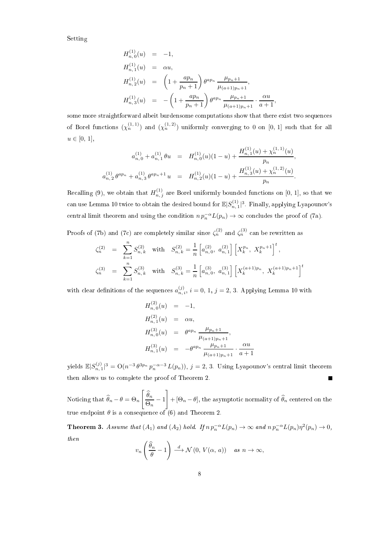Setting

$$
H_{n,0}^{(1)}(u) = -1,
$$
  
\n
$$
H_{n,1}^{(1)}(u) = \alpha u,
$$
  
\n
$$
H_{n,2}^{(1)}(u) = \left(1 + \frac{ap_n}{p_n + 1}\right) \theta^{ap_n} \frac{\mu_{p_n+1}}{\mu_{(a+1)p_n+1}},
$$
  
\n
$$
H_{n,3}^{(1)}(u) = -\left(1 + \frac{ap_n}{p_n + 1}\right) \theta^{ap_n} \frac{\mu_{p_n+1}}{\mu_{(a+1)p_n+1}} \cdot \frac{\alpha u}{a+1},
$$

some more straightforward albeit burdensome computations show that there exist two sequences of Borel functions  $(\chi_n^{(1,1)})$  and  $(\chi_n^{(1,2)})$  uniformly converging to 0 on [0, 1] such that for all  $u \in [0, 1],$ 

$$
a_{n,0}^{(1)} + a_{n,1}^{(1)} \theta u = H_{n,0}^{(1)}(u)(1-u) + \frac{H_{n,1}^{(1)}(u) + \chi_n^{(1,1)}(u)}{p_n},
$$
  

$$
a_{n,2}^{(1)} \theta^{ap_n} + a_{n,3}^{(1)} \theta^{ap_n+1} u = H_{n,2}^{(1)}(u)(1-u) + \frac{H_{n,3}^{(1)}(u) + \chi_n^{(1,2)}(u)}{p_n}.
$$

Recalling (9), we obtain that  $H_{n,j}^{(1)}$  are Borel uniformly bounded functions on [0, 1], so that we can use Lemma 10 twice to obtain the desired bound for  $\mathbb{E}|S_{n,1}^{(1)}|^3$ . Finally, applying Lyapounov's central limit theorem and using the condition  $n p_n^{-\alpha} L(p_n) \to \infty$  concludes the proof of (7a).

Proofs of (7b) and (7c) are completely similar since  $\zeta_n^{(2)}$  and  $\zeta_n^{(3)}$  can be rewritten as

$$
\begin{array}{lll}\n\zeta_n^{(2)} &=& \sum_{k=1}^n S_{n,k}^{(2)} & \text{with} & S_{n,k}^{(2)} = \frac{1}{n} \left[ a_{n,0}^{(2)}, \ a_{n,1}^{(2)} \right] \left[ X_k^{p_n}, \ X_k^{p_n+1} \right]^t, \\
\zeta_n^{(3)} &=& \sum_{k=1}^n S_{n,k}^{(3)} & \text{with} & S_{n,k}^{(3)} = \frac{1}{n} \left[ a_{n,0}^{(3)}, \ a_{n,1}^{(3)} \right] \left[ X_k^{(a+1)p_n}, \ X_k^{(a+1)p_n+1} \right]^t\n\end{array}
$$

with clear definitions of the sequences  $a_{n,i}^{(j)}$ ,  $i = 0, 1, j = 2, 3$ . Applying Lemma 10 with

$$
H_{n,0}^{(2)}(u) = -1,
$$
  
\n
$$
H_{n,1}^{(2)}(u) = \alpha u,
$$
  
\n
$$
H_{n,0}^{(3)}(u) = \theta^{ap_n} \frac{\mu_{p_n+1}}{\mu_{(a+1)p_n+1}},
$$
  
\n
$$
H_{n,1}^{(3)}(u) = -\theta^{ap_n} \frac{\mu_{p_n+1}}{\mu_{(a+1)p_n+1}} \cdot \frac{\alpha u}{a+1}
$$

yields  $\mathbb{E}|S_{n,1}^{(j)}|^3 = \mathrm{O}(n^{-3} \theta^{3p_n} p_n^{-\alpha-3} L(p_n)), j = 2, 3$ . Using Lyapounov's central limit theorem then allows us to complete the proof of Theorem 2. П

Noticing that  $\theta_n - \theta = \Theta_n$  $\left[\begin{array}{c} \widehat{\theta}_n \end{array}\right]$  $\frac{\sigma_n}{\Theta_n} - 1$ 1  $+$  [ $\Theta_n - \theta$ ], the asymptotic normality of  $\theta_n$  centered on the true endpoint  $\theta$  is a consequence of (6) and Theorem 2.

**Theorem 3.** Assume that  $(A_1)$  and  $(A_2)$  hold. If  $n p_n^{-\alpha} L(p_n) \to \infty$  and  $n p_n^{-\alpha} L(p_n) \eta^2(p_n) \to 0$ , then

$$
v_n\left(\frac{\widehat{\theta}_n}{\theta}-1\right) \stackrel{d}{\longrightarrow} \mathcal{N}\left(0, V(\alpha, a)\right) \quad \text{as } n \to \infty,
$$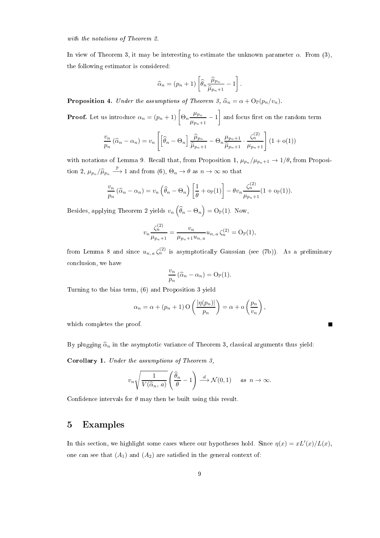with the notations of Theorem 2.

In view of Theorem 3, it may be interesting to estimate the unknown parameter  $\alpha$ . From (3), the following estimator is considered:

$$
\widehat{\alpha}_n = (p_n + 1) \left[ \widehat{\theta}_n \frac{\widehat{\mu}_{p_n}}{\widehat{\mu}_{p_n + 1}} - 1 \right].
$$

**Proposition 4.** Under the assumptions of Theorem 3,  $\hat{\alpha}_n = \alpha + \mathcal{O}_{\mathbb{P}}(p_n/v_n)$ .

**Proof.** Let us introduce  $\alpha_n = (p_n + 1) \left[ \Theta_n \frac{\mu_{p_n}}{p_n} \right]$  $\frac{\mu_{p_n}}{\mu_{p_n+1}}-1$  $\vert$  and focus first on the random term

$$
\frac{v_n}{p_n}(\widehat{\alpha}_n - \alpha_n) = v_n \left[ \left[ \widehat{\theta}_n - \Theta_n \right] \frac{\widehat{\mu}_{p_n}}{\widehat{\mu}_{p_n+1}} - \Theta_n \frac{\mu_{p_n+1}}{\widehat{\mu}_{p_n+1}} \cdot \frac{\zeta_n^{(2)}}{\mu_{p_n+1}} \right] (1 + o(1))
$$

with notations of Lemma 9. Recall that, from Proposition 1,  $\mu_{p_n}/\mu_{p_n+1} \to 1/\theta$ , from Proposition 2,  $\mu_{p_n}/\widehat{\mu}_{p_n} \stackrel{\mathbb{P}}{\longrightarrow} 1$  and from  $(6)$ ,  $\Theta_n \to \theta$  as  $n \to \infty$  so that

$$
\frac{v_n}{p_n}(\widehat{\alpha}_n - \alpha_n) = v_n \left(\widehat{\theta}_n - \Theta_n\right) \left[\frac{1}{\theta} + o_{\mathbb{P}}(1)\right] - \theta v_n \frac{\zeta_n^{(2)}}{\mu_{p_n+1}} (1 + o_{\mathbb{P}}(1)).
$$

Besides, applying Theorem 2 yields  $v_n\left(\widehat{\theta}_n - \Theta_n\right) = \mathrm{O}_{\mathbb{P}}(1)$ . Now,

$$
v_n \frac{\zeta_n^{(2)}}{\mu_{p_n+1}} = \frac{v_n}{\mu_{p_n+1} u_{n,a}} u_{n,a} \zeta_n^{(2)} = O_{\mathbb{P}}(1),
$$

from Lemma 8 and since  $u_{n,\,a}\,\zeta_n^{(2)}$  is asymptotically Gaussian (see (7b)). As a preliminary conclusion, we have

$$
\frac{v_n}{p_n}(\widehat{\alpha}_n - \alpha_n) = O_{\mathbb{P}}(1).
$$

Turning to the bias term, (6) and Proposition 3 yield

$$
\alpha_n = \alpha + (p_n + 1) \operatorname{O}\left(\frac{|\eta(p_n)|}{p_n}\right) = \alpha + \operatorname{O}\left(\frac{p_n}{v_n}\right),
$$

which completes the proof.

By plugging  $\hat{\alpha}_n$  in the asymptotic variance of Theorem 3, classical arguments thus yield:

Corollary 1. Under the assumptions of Theorem 3,

$$
v_n\sqrt{\frac{1}{V(\widehat{\alpha}_n, a)}}\left(\frac{\widehat{\theta}_n}{\theta} - 1\right) \stackrel{d}{\longrightarrow} \mathcal{N}(0, 1) \quad \text{as } n \to \infty.
$$

Confidence intervals for  $\theta$  may then be built using this result.

#### 5 Examples

In this section, we highlight some cases where our hypotheses hold. Since  $\eta(x) = xL'(x)/L(x)$ , one can see that  $(A_1)$  and  $(A_2)$  are satisfied in the general context of: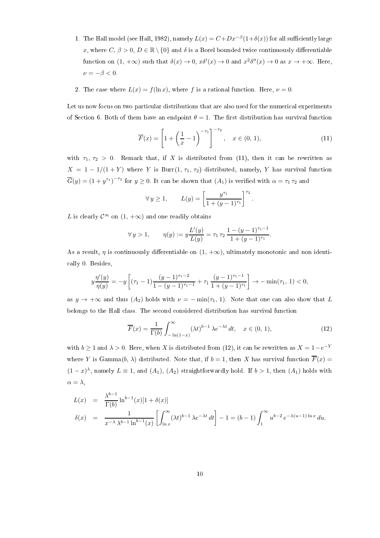- 1. The Hall model (see Hall, 1982), namely  $L(x) = C + Dx^{-\beta}(1+\delta(x))$  for all sufficiently large x, where  $C, \beta > 0, D \in \mathbb{R} \setminus \{0\}$  and  $\delta$  is a Borel bounded twice continuously differentiable function on  $(1, +\infty)$  such that  $\delta(x) \to 0$ ,  $x\delta'(x) \to 0$  and  $x^2\delta''(x) \to 0$  as  $x \to +\infty$ . Here,  $\nu = -\beta < 0.$
- 2. The case where  $L(x) = f(\ln x)$ , where f is a rational function. Here,  $\nu = 0$ .

Let us now focus on two particular distributions that are also used for the numerical experiments of Section 6. Both of them have an endpoint  $\theta = 1$ . The first distribution has survival function

$$
\overline{F}(x) = \left[1 + \left(\frac{1}{x} - 1\right)^{-\tau_1}\right]^{-\tau_2}, \quad x \in (0, 1),\tag{11}
$$

with  $\tau_1$ ,  $\tau_2 > 0$ . Remark that, if X is distributed from (11), then it can be rewritten as  $X = 1 - 1/(1 + Y)$  where Y is Burr $(1, \tau_1, \tau_2)$  distributed, namely, Y has survival function  $\overline{G}(y) = (1 + y^{\tau_1})^{-\tau_2}$  for  $y \ge 0$ . It can be shown that  $(A_1)$  is verified with  $\alpha = \tau_1 \tau_2$  and

$$
\forall y \ge 1,
$$
  $L(y) = \left[\frac{y^{\tau_1}}{1 + (y - 1)^{\tau_1}}\right]^{\tau_2}.$ 

L is clearly  $\mathcal{C}^{\infty}$  on  $(1, +\infty)$  and one readily obtains

$$
\forall y > 1, \qquad \eta(y) := y \frac{L'(y)}{L(y)} = \tau_1 \tau_2 \frac{1 - (y - 1)^{\tau_1 - 1}}{1 + (y - 1)^{\tau_1}}.
$$

As a result,  $\eta$  is continuously differentiable on  $(1, +\infty)$ , ultimately monotonic and non identically 0. Besides,

$$
y\frac{\eta'(y)}{\eta(y)} = -y \left[ (\tau_1 - 1) \frac{(y-1)^{\tau_1-2}}{1-(y-1)^{\tau_1-1}} + \tau_1 \frac{(y-1)^{\tau_1-1}}{1+(y-1)^{\tau_1}} \right] \to -\min(\tau_1, 1) < 0,
$$

as  $y \to +\infty$  and thus  $(A_2)$  holds with  $\nu = -\min(\tau_1, 1)$ . Note that one can also show that L belongs to the Hall class. The second considered distribution has survival function

$$
\overline{F}(x) = \frac{1}{\Gamma(b)} \int_{-\ln(1-x)}^{\infty} (\lambda t)^{b-1} \lambda e^{-\lambda t} dt, \quad x \in (0, 1),
$$
\n(12)

with  $b \geq 1$  and  $\lambda > 0$ . Here, when X is distributed from (12), it can be rewritten as  $X = 1-e^{-Y}$ where Y is Gamma $(b, \lambda)$  distributed. Note that, if  $b = 1$ , then X has survival function  $\overline{F}(x) =$  $(1-x)^{\lambda}$ , namely  $L \equiv 1$ , and  $(A_1)$ ,  $(A_2)$  straightforwardly hold. If  $b > 1$ , then  $(A_1)$  holds with  $\alpha = \lambda$ ,

$$
L(x) = \frac{\lambda^{b-1}}{\Gamma(b)} \ln^{b-1}(x) [1 + \delta(x)]
$$
  

$$
\delta(x) = \frac{1}{x^{-\lambda} \lambda^{b-1} \ln^{b-1}(x)} \left[ \int_{\ln x}^{\infty} (\lambda t)^{b-1} \lambda e^{-\lambda t} dt \right] - 1 = (b - 1) \int_{1}^{\infty} u^{b-2} e^{-\lambda(u-1) \ln x} du.
$$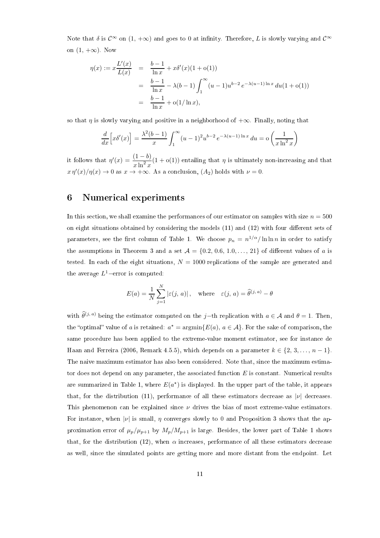Note that  $\delta$  is  $\mathcal{C}^{\infty}$  on  $(1, +\infty)$  and goes to 0 at infinity. Therefore, L is slowly varying and  $\mathcal{C}^{\infty}$ on  $(1, +\infty)$ . Now

$$
\eta(x) := x \frac{L'(x)}{L(x)} = \frac{b-1}{\ln x} + x \delta'(x) (1 + o(1))
$$
  
= 
$$
\frac{b-1}{\ln x} - \lambda (b-1) \int_1^\infty (u-1) u^{b-2} e^{-\lambda (u-1) \ln x} du (1 + o(1))
$$
  
= 
$$
\frac{b-1}{\ln x} + o(1/\ln x),
$$

so that  $\eta$  is slowly varying and positive in a neighborhood of  $+\infty$ . Finally, noting that

$$
\frac{d}{dx}\left[x\delta'(x)\right] = \frac{\lambda^2(b-1)}{x}\int_1^\infty (u-1)^2u^{b-2}e^{-\lambda(u-1)\ln x}du = o\left(\frac{1}{x\ln^2 x}\right)
$$

it follows that  $\eta'(x) = \frac{(1-b)}{x \ln^2 x} (1 + o(1))$  entailing that  $\eta$  is ultimately non-increasing and that  $x \eta'(x)/\eta(x) \to 0$  as  $x \to +\infty$ . As a conclusion,  $(A_2)$  holds with  $\nu = 0$ .

#### 6 Numerical experiments

In this section, we shall examine the performances of our estimator on samples with size  $n = 500$ on eight situations obtained by considering the models  $(11)$  and  $(12)$  with four different sets of parameters, see the first column of Table 1. We choose  $p_n = n^{1/\alpha}/\ln\ln n$  in order to satisfy the assumptions in Theorem 3 and a set  $A = \{0.2, 0.6, 1.0, \ldots, 21\}$  of different values of a is tested. In each of the eight situations,  $N = 1000$  replications of the sample are generated and the average  $L^1$ –error is computed:

$$
E(a) = \frac{1}{N} \sum_{j=1}^{N} |\varepsilon(j, a)|, \quad \text{where} \quad \varepsilon(j, a) = \widehat{\theta}^{(j, a)} - \theta
$$

with  $\widehat{\theta}^{(j, a)}$  being the estimator computed on the j−th replication with  $a \in \mathcal{A}$  and  $\theta = 1$ . Then, the "optimal" value of a is retained:  $a^* = \operatorname{argmin} \{ E(a), a \in \mathcal{A} \}$ . For the sake of comparison, the same procedure has been applied to the extreme-value moment estimator, see for instance de Haan and Ferreira (2006, Remark 4.5.5), which depends on a parameter  $k \in \{2, 3, ..., n-1\}$ . The naive maximum estimator has also been considered. Note that, since the maximum estimator does not depend on any parameter, the associated function  $E$  is constant. Numerical results are summarized in Table 1, where  $E(a^*)$  is displayed. In the upper part of the table, it appears that, for the distribution (11), performance of all these estimators decrease as  $|\nu|$  decreases. This phenomenon can be explained since  $\nu$  drives the bias of most extreme-value estimators. For instance, when |v| is small,  $\eta$  converges slowly to 0 and Proposition 3 shows that the approximation error of  $\mu_p/\mu_{p+1}$  by  $M_p/M_{p+1}$  is large. Besides, the lower part of Table 1 shows that, for the distribution (12), when  $\alpha$  increases, performance of all these estimators decrease as well, since the simulated points are getting more and more distant from the endpoint. Let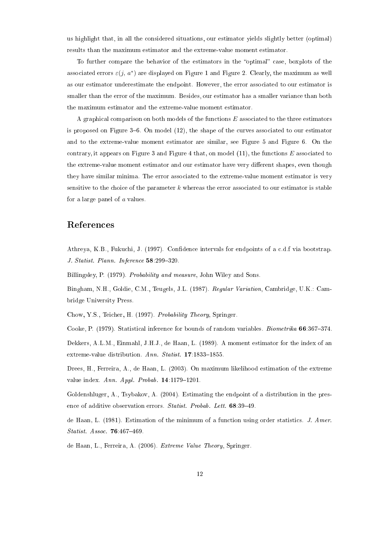us highlight that, in all the considered situations, our estimator yields slightly better (optimal) results than the maximum estimator and the extreme-value moment estimator.

To further compare the behavior of the estimators in the "optimal" case, boxplots of the associated errors  $\varepsilon(j, a^*)$  are displayed on Figure 1 and Figure 2. Clearly, the maximum as well as our estimator underestimate the endpoint. However, the error associated to our estimator is smaller than the error of the maximum. Besides, our estimator has a smaller variance than both the maximum estimator and the extreme-value moment estimator.

A graphical comparison on both models of the functions E associated to the three estimators is proposed on Figure  $3-6$ . On model  $(12)$ , the shape of the curves associated to our estimator and to the extreme-value moment estimator are similar, see Figure 5 and Figure 6. On the contrary, it appears on Figure 3 and Figure 4 that, on model  $(11)$ , the functions E associated to the extreme-value moment estimator and our estimator have very different shapes, even though they have similar minima. The error associated to the extreme-value moment estimator is very sensitive to the choice of the parameter  $k$  whereas the error associated to our estimator is stable for a large panel of  $a$  values.

#### References

Athreya, K.B., Fukuchi, J. (1997). Confidence intervals for endpoints of a c.d.f via bootstrap. J. Statist. Plann. Inference  $58:299-320$ .

Billingsley, P. (1979). Probability and measure, John Wiley and Sons.

Bingham, N.H., Goldie, C.M., Teugels, J.L. (1987). Regular Variation, Cambridge, U.K.: Cambridge University Press.

Chow, Y.S., Teicher, H. (1997). Probability Theory, Springer.

Cooke, P. (1979). Statistical inference for bounds of random variables. *Biometrika* 66:367-374.

Dekkers, A.L.M., Einmahl, J.H.J., de Haan, L. (1989). A moment estimator for the index of an extreme-value distribution.  $Ann.$   $Statist.$  **17**:1833-1855.

Drees, H., Ferreira, A., de Haan, L. (2003). On maximum likelihood estimation of the extreme value index.  $Ann.$  Appl. Probab.  $14:1179-1201$ .

Goldenshluger, A., Tsybakov, A. (2004). Estimating the endpoint of a distribution in the presence of additive observation errors. Statist. Probab. Lett. 68:39-49.

de Haan, L. (1981). Estimation of the minimum of a function using order statistics. J. Amer. Statist. Assoc.  $76:467-469$ .

de Haan, L., Ferreira, A. (2006). Extreme Value Theory, Springer.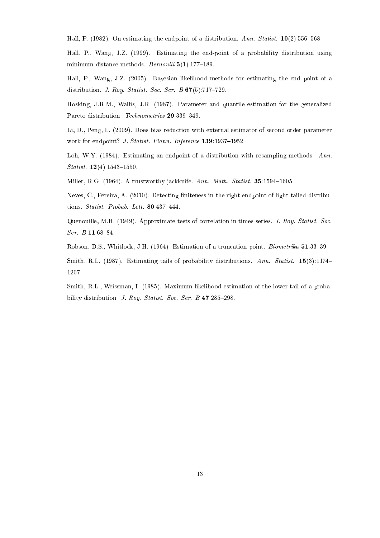Hall, P. (1982). On estimating the endpoint of a distribution. Ann. Statist.  $10(2):556-568$ .

Hall, P., Wang, J.Z. (1999). Estimating the end-point of a probability distribution using minimum-distance methods. Bernoulli  $5(1):177-189$ .

Hall, P., Wang, J.Z. (2005). Bayesian likelihood methods for estimating the end point of a distribution. J. Roy. Statist. Soc. Ser. B  $67(5):717-729$ .

Hosking, J.R.M., Wallis, J.R. (1987). Parameter and quantile estimation for the generalized Pareto distribution. Technometrics 29:339-349.

Li, D., Peng, L. (2009). Does bias reduction with external estimator of second order parameter work for endpoint? J. Statist. Plann. Inference 139:1937-1952.

Loh, W.Y. (1984). Estimating an endpoint of a distribution with resampling methods. Ann.  $Statist.$  12(4):1543-1550.

Miller, R.G. (1964). A trustworthy jackknife. Ann. Math. Statist. 35:1594-1605.

Neves, C., Pereira, A. (2010). Detecting finiteness in the right endpoint of light-tailed distributions. Statist. Probab. Lett.  $80:437-444$ .

Quenouille, M.H. (1949). Approximate tests of correlation in times-series. J. Roy. Statist. Soc.  $Ser. B11:68-84.$ 

Robson, D.S., Whitlock, J.H. (1964). Estimation of a truncation point. *Biometrika* 51:33-39.

Smith, R.L. (1987). Estimating tails of probability distributions. Ann. Statist. 15(3):1174– 1207.

Smith, R.L., Weissman, I. (1985). Maximum likelihood estimation of the lower tail of a probability distribution. J. Roy. Statist. Soc. Ser. B  $47:285-298$ .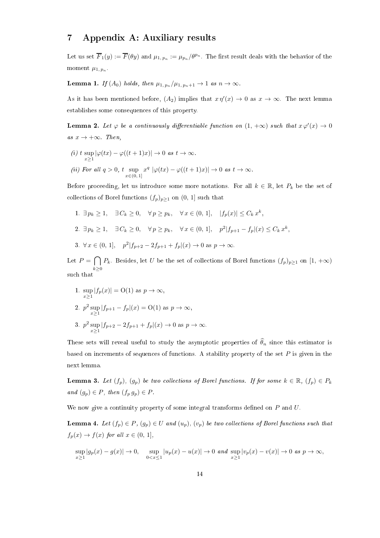#### 7 Appendix A: Auxiliary results

Let us set  $\overline{F}_1(y):=\overline{F}(\theta y)$  and  $\mu_{1,\,p_n}:=\mu_{p_n}/\theta^{p_n}.$  The first result deals with the behavior of the moment  $\mu_{1, p_n}$ .

**Lemma 1.** If  $(A_0)$  holds, then  $\mu_{1, p_n}/\mu_{1, p_n+1} \rightarrow 1$  as  $n \rightarrow \infty$ .

As it has been mentioned before,  $(A_2)$  implies that  $x \eta'(x) \to 0$  as  $x \to \infty$ . The next lemma establishes some consequences of this property.

**Lemma 2.** Let  $\varphi$  be a continuously differentiable function on  $(1, +\infty)$  such that  $x \varphi'(x) \to 0$ as  $x \to +\infty$ . Then,

(i) 
$$
t \sup_{x\geq 1} |\varphi(tx) - \varphi((t+1)x)| \to 0 \text{ as } t \to \infty.
$$
  
\n(ii) For all  $q > 0$ ,  $t \sup_{x \in (0,1]} x^q |\varphi(tx) - \varphi((t+1)x)| \to 0 \text{ as } t \to \infty.$ 

Before proceeding, let us introduce some more notations. For all  $k \in \mathbb{R}$ , let  $P_k$  be the set of collections of Borel functions  $(f_p)_{p\geq 1}$  on  $(0, 1]$  such that

1. 
$$
\exists p_k \ge 1
$$
,  $\exists C_k \ge 0$ ,  $\forall p \ge p_k$ ,  $\forall x \in (0, 1]$ ,  $|f_p(x)| \le C_k x^k$ ,  
\n2.  $\exists p_k \ge 1$ ,  $\exists C_k \ge 0$ ,  $\forall p \ge p_k$ ,  $\forall x \in (0, 1]$ ,  $p^2|f_{p+1} - f_p|(x) \le C_k x^k$ ,

3.  $\forall x \in (0, 1], \quad p^2 | f_{p+2} - 2f_{p+1} + f_p | (x) \to 0 \text{ as } p \to \infty.$ 

Let  $P = \bigcap P_k$ . Besides, let U be the set of collections of Borel functions  $(f_p)_{p\geq 1}$  on  $[1, +\infty)$  $k\geq 0$ such that

1. 
$$
\sup_{x\geq 1} |f_p(x)| = O(1)
$$
 as  $p \to \infty$ ,  
\n2.  $p^2 \sup_{x\geq 1} |f_{p+1} - f_p|(x) = O(1)$  as  $p \to \infty$ ,  
\n3.  $p^2 \sup_{x\geq 1} |f_{p+2} - 2f_{p+1} + f_p|(x) \to 0$  as  $p \to \infty$ .

These sets will reveal useful to study the asymptotic properties of  $\widehat{\theta}_n$  since this estimator is based on increments of sequences of functions. A stability property of the set  $P$  is given in the next lemma.

**Lemma 3.** Let  $(f_p)$ ,  $(g_p)$  be two collections of Borel functions. If for some  $k \in \mathbb{R}$ ,  $(f_p) \in P_k$ and  $(g_p) \in P$ , then  $(f_p g_p) \in P$ .

We now give a continuity property of some integral transforms defined on  $P$  and  $U$ .

**Lemma 4.** Let  $(f_p) \in P$ ,  $(g_p) \in U$  and  $(u_p)$ ,  $(v_p)$  be two collections of Borel functions such that  $f_p(x) \rightarrow f(x)$  for all  $x \in (0, 1]$ ,

$$
\sup_{x\geq 1}\vert g_p(x)-g(x)\vert\rightarrow 0,\quad \sup_{0
$$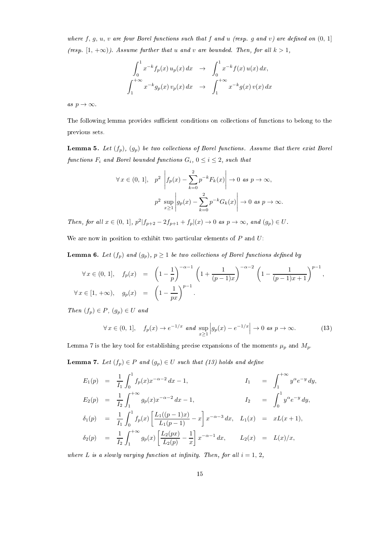where  $f, g, u, v$  are four Borel functions such that  $f$  and  $u$  (resp.  $g$  and  $v$ ) are defined on  $(0, 1]$ (resp.  $[1, +\infty)$ ). Assume further that u and v are bounded. Then, for all  $k > 1$ ,

$$
\int_0^1 x^{-k} f_p(x) u_p(x) dx \to \int_0^1 x^{-k} f(x) u(x) dx,
$$
  

$$
\int_1^{+\infty} x^{-k} g_p(x) v_p(x) dx \to \int_1^{+\infty} x^{-k} g(x) v(x) dx
$$

as  $p \to \infty$ .

The following lemma provides sufficient conditions on collections of functions to belong to the previous sets.

**Lemma 5.** Let  $(f_p)$ ,  $(g_p)$  be two collections of Borel functions. Assume that there exist Borel functions  $F_i$  and Borel bounded functions  $G_i$ ,  $0 \le i \le 2$ , such that

$$
\forall x \in (0, 1], \quad p^2 \quad \left| f_p(x) - \sum_{k=0}^2 p^{-k} F_k(x) \right| \to 0 \text{ as } p \to \infty,
$$

$$
p^2 \sup_{x \ge 1} \left| g_p(x) - \sum_{k=0}^2 p^{-k} G_k(x) \right| \to 0 \text{ as } p \to \infty.
$$

Then, for all  $x \in (0, 1]$ ,  $p^2 | f_{p+2} - 2f_{p+1} + f_p | (x) \to 0$  as  $p \to \infty$ , and  $(g_p) \in U$ .

We are now in position to exhibit two particular elements of  $P$  and  $U$ :

**Lemma 6.** Let  $(f_p)$  and  $(g_p)$ ,  $p \ge 1$  be two collections of Borel functions defined by

$$
\forall x \in (0, 1], \quad f_p(x) = \left(1 - \frac{1}{p}\right)^{-\alpha - 1} \left(1 + \frac{1}{(p - 1)x}\right)^{-\alpha - 2} \left(1 - \frac{1}{(p - 1)x + 1}\right)^{p - 1},
$$
  

$$
\forall x \in [1, +\infty), \quad g_p(x) = \left(1 - \frac{1}{px}\right)^{p - 1}.
$$

Then  $(f_p) \in P$ ,  $(g_p) \in U$  and

$$
\forall x \in (0, 1], \quad f_p(x) \to e^{-1/x} \text{ and } \sup_{x \ge 1} \left| g_p(x) - e^{-1/x} \right| \to 0 \text{ as } p \to \infty. \tag{13}
$$

Lemma 7 is the key tool for establishing precise expansions of the moments  $\mu_p$  and  $M_p$ .

**Lemma 7.** Let  $(f_p) \in P$  and  $(g_p) \in U$  such that (13) holds and define

$$
E_1(p) = \frac{1}{I_1} \int_0^1 f_p(x) x^{-\alpha - 2} dx - 1,
$$
  
\n
$$
E_2(p) = \frac{1}{I_2} \int_1^{+\infty} g_p(x) x^{-\alpha - 2} dx - 1,
$$
  
\n
$$
I_1 = \int_1^{+\infty} y^{\alpha} e^{-y} dy,
$$
  
\n
$$
\delta_1(p) = \frac{1}{I_1} \int_0^1 f_p(x) \left[ \frac{L_1((p-1)x)}{L_1(p-1)} - x \right] x^{-\alpha - 3} dx, \quad L_1(x) = xL(x+1),
$$
  
\n
$$
\delta_2(p) = \frac{1}{I_2} \int_1^{+\infty} g_p(x) \left[ \frac{L_2(px)}{L_2(p)} - \frac{1}{x} \right] x^{-\alpha - 1} dx, \quad L_2(x) = L(x)/x,
$$

where L is a slowly varying function at infinity. Then, for all  $i = 1, 2$ ,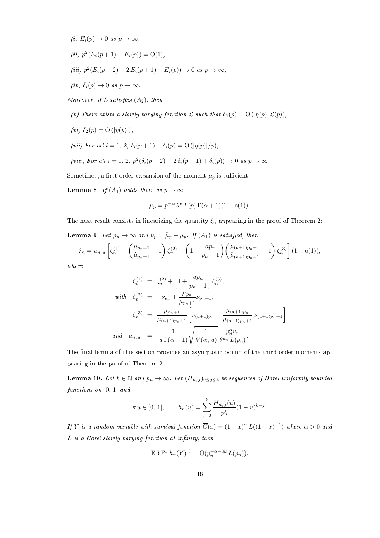- (i)  $E_i(p) \to 0$  as  $p \to \infty$ ,
- (ii)  $p^2(E_i(p+1) E_i(p)) = O(1),$
- (iii)  $p^2(E_i(p+2) 2E_i(p+1) + E_i(p)) \to 0$  as  $p \to \infty$ ,
- (iv)  $\delta_i(p) \to 0$  as  $p \to \infty$ .

Moreover, if L satisfies  $(A_2)$ , then

(v) There exists a slowly varying function  $\mathcal L$  such that  $\delta_1(p) = \mathrm{O}(|\eta(p)| \mathcal L(p)),$ 

- (vi)  $\delta_2(p) = \mathrm{O}(|\eta(p)|),$
- (vii) For all  $i = 1, 2, \delta_i(p+1) \delta_i(p) = O(|\eta(p)|/p),$

(viii) For all 
$$
i = 1, 2, p^2(\delta_i(p+2) - 2\delta_i(p+1) + \delta_i(p)) \rightarrow 0
$$
 as  $p \rightarrow \infty$ .

Sometimes, a first order expansion of the moment  $\mu_p$  is sufficient:

**Lemma 8.** If  $(A_1)$  holds then, as  $p \to \infty$ ,

$$
\mu_p = p^{-\alpha} \theta^p L(p) \Gamma(\alpha + 1)(1 + o(1)).
$$

The next result consists in linearizing the quantity  $\xi_n$  appearing in the proof of Theorem 2:

**Lemma 9.** Let  $p_n \to \infty$  and  $\nu_p = \widehat{\mu}_p - \mu_p$ . If  $(A_1)$  is satisfied, then

$$
\xi_n = u_{n,a} \left[ \zeta_n^{(1)} + \left( \frac{\mu_{p_n+1}}{\widehat{\mu}_{p_n+1}} - 1 \right) \zeta_n^{(2)} + \left( 1 + \frac{ap_n}{p_n+1} \right) \left( \frac{\mu_{(a+1)p_n+1}}{\widehat{\mu}_{(a+1)p_n+1}} - 1 \right) \zeta_n^{(3)} \right] (1 + o(1)),
$$

where

$$
\zeta_n^{(1)} = \zeta_n^{(2)} + \left[1 + \frac{ap_n}{p_n + 1}\right] \zeta_n^{(3)},
$$
  
\nwith 
$$
\zeta_n^{(2)} = -\nu_{p_n} + \frac{\mu_{p_n}}{\mu_{p_n + 1}} \nu_{p_n + 1},
$$
  
\n
$$
\zeta_n^{(3)} = \frac{\mu_{p_n + 1}}{\mu_{(a+1)p_n + 1}} \left[\nu_{(a+1)p_n} - \frac{\mu_{(a+1)p_n}}{\mu_{(a+1)p_n + 1}} \nu_{(a+1)p_n + 1}\right]
$$
  
\nand 
$$
u_{n,a} = \frac{1}{a \Gamma(\alpha + 1)} \sqrt{\frac{1}{V(\alpha, a)} \frac{p_n^{\alpha} v_n}{\theta^{p_n} L(p_n)}}.
$$

The final lemma of this section provides an asymptotic bound of the third-order moments appearing in the proof of Theorem 2.

**Lemma 10.** Let  $k \in \mathbb{N}$  and  $p_n \to \infty$ . Let  $(H_{n,j})_{0 \leq j \leq k}$  be sequences of Borel uniformly bounded functions on [0, 1] and

$$
\forall u \in [0, 1], \qquad h_n(u) = \sum_{j=0}^k \frac{H_{n,j}(u)}{p_n^j} (1 - u)^{k - j}.
$$

If Y is a random variable with survival function  $\overline{G}(x)=(1-x)^{\alpha}$   $L((1-x)^{-1})$  where  $\alpha>0$  and  $L$  is a Borel slowly varying function at infinity, then

$$
\mathbb{E}|Y^{p_n} h_n(Y)|^3 = \mathcal{O}(p_n^{-\alpha - 3k} L(p_n)).
$$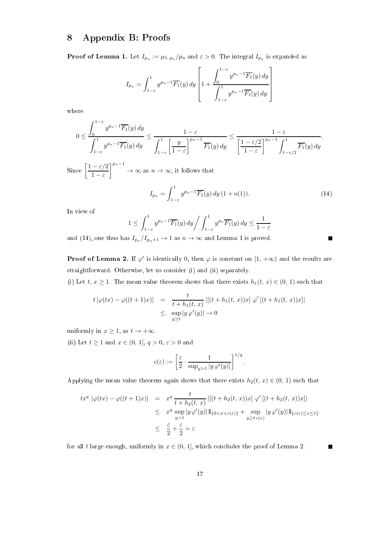## 8 Appendix B: Proofs

**Proof of Lemma 1.** Let  $I_{p_n} := \mu_{1,\,p_n}/p_n$  and  $\varepsilon > 0$ . The integral  $I_{p_n}$  is expanded as

$$
I_{p_n} = \int_{1-\varepsilon}^1 y^{p_n-1} \overline{F_1}(y) dy \left[ 1 + \frac{\int_0^{1-\varepsilon} y^{p_n-1} \overline{F_1}(y) dy}{\int_{1-\varepsilon}^1 y^{p_n-1} \overline{F_1}(y) dy} \right]
$$

where

$$
0 \le \frac{\int_0^{1-\varepsilon} y^{p_n-1} \overline{F_1}(y) dy}{\int_{1-\varepsilon}^1 y^{p_n-1} \overline{F_1}(y) dy} \le \frac{1-\varepsilon}{\int_{1-\varepsilon}^1 \left[\frac{y}{1-\varepsilon}\right]^{p_n-1} \overline{F_1}(y) dy} \le \frac{1-\varepsilon}{\left[\frac{1-\varepsilon/2}{1-\varepsilon}\right]^{p_n-1} \int_{1-\varepsilon/2}^1 \overline{F_1}(y) dy}.
$$

Since  $\left[ \frac{1 - \varepsilon/2}{\varepsilon} \right]$  $1 - \varepsilon$  $n^{-1}$  $\rightarrow \infty$  as  $n \rightarrow \infty$ , it follows that

$$
I_{p_n} = \int_{1-\varepsilon}^1 y^{p_n - 1} \overline{F_1}(y) \, dy \, (1 + o(1)). \tag{14}
$$

In view of

$$
1 \le \int_{1-\varepsilon}^1 y^{p_n - 1} \overline{F_1}(y) \, dy \bigg/ \int_{1-\varepsilon}^1 y^{p_n} \overline{F_1}(y) \, dy \le \frac{1}{1-\varepsilon}
$$

and (14), one thus has  $I_{p_n}/I_{p_n+1} \to 1$  as  $n \to \infty$  and Lemma 1 is proved.

**Proof of Lemma 2.** If  $\varphi'$  is identically 0, then  $\varphi$  is constant on  $[1, +\infty)$  and the results are straightforward. Otherwise, let us consider (i) and (ii) separately.

(i) Let  $t, x \ge 1$ . The mean value theorem shows that there exists  $h_1(t, x) \in (0, 1)$  such that

$$
t |\varphi(tx) - \varphi((t+1)x)| = \frac{t}{t + h_1(t, x)} |[(t + h_1(t, x))x] \varphi'[(t + h_1(t, x))x]|
$$
  

$$
\leq \sup_{y \geq t} |y \varphi'(y)| \to 0
$$

uniformly in  $x \geq 1$ , as  $t \to +\infty$ .

(ii) Let  $t \ge 1$  and  $x \in (0, 1], q > 0, \varepsilon > 0$  and

$$
c(\varepsilon) := \left[\frac{\varepsilon}{2} \cdot \frac{1}{\sup_{y>1} |y \,\varphi'(y)|}\right]^{1/q}.
$$

Applying the mean value theorem again shows that there exists  $h_2(t, x) \in (0, 1)$  such that

$$
tx^{q} |\varphi(tx) - \varphi((t+1)x)| = x^{q} \frac{t}{t + h_{2}(t, x)} |[(t + h_{2}(t, x))x] \varphi' [(t + h_{2}(t, x))x]|
$$
  

$$
\leq x^{q} \sup_{y>1} |y \varphi'(y)| \mathbb{1}_{\{0 < x < c(\varepsilon)\}} + \sup_{y \geq t} |y \varphi'(y)| \mathbb{1}_{\{c(\varepsilon) \leq x \leq 1\}}
$$
  

$$
\leq \frac{\varepsilon}{2} + \frac{\varepsilon}{2} = \varepsilon
$$

for all t large enough, uniformly in  $x \in (0, 1]$ , which concludes the proof of Lemma 2.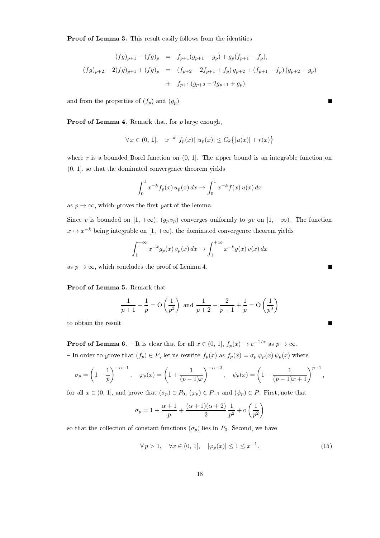Proof of Lemma 3. This result easily follows from the identities

$$
(fg)_{p+1} - (fg)_p = f_{p+1}(g_{p+1} - g_p) + g_p(f_{p+1} - f_p),
$$
  

$$
(fg)_{p+2} - 2(fg)_{p+1} + (fg)_p = (f_{p+2} - 2f_{p+1} + f_p) g_{p+2} + (f_{p+1} - f_p) (g_{p+2} - g_p)
$$
  

$$
+ f_{p+1} (g_{p+2} - 2g_{p+1} + g_p),
$$

and from the properties of  $(f_p)$  and  $(g_p)$ .

**Proof of Lemma 4.** Remark that, for  $p$  large enough,

$$
\forall x \in (0, 1], \quad x^{-k} |f_p(x)| \, |u_p(x)| \le C_k \{ |u(x)| + r(x) \}
$$

where r is a bounded Borel function on  $(0, 1]$ . The upper bound is an integrable function on (0, 1], so that the dominated convergence theorem yields

$$
\int_0^1 x^{-k} f_p(x) u_p(x) dx \to \int_0^1 x^{-k} f(x) u(x) dx
$$

as  $p \to \infty$ , which proves the first part of the lemma.

Since v is bounded on  $[1, +\infty)$ ,  $(g_p v_p)$  converges uniformly to gv on  $[1, +\infty)$ . The function  $x \mapsto x^{-k}$  being integrable on  $[1, +\infty),$  the dominated convergence theorem yields

$$
\int_{1}^{+\infty} x^{-k} g_p(x) v_p(x) dx \to \int_{1}^{+\infty} x^{-k} g(x) v(x) dx
$$

as  $p \to \infty$ , which concludes the proof of Lemma 4.

#### Proof of Lemma 5. Remark that

$$
\frac{1}{p+1} - \frac{1}{p} = O\left(\frac{1}{p^2}\right) \text{ and } \frac{1}{p+2} - \frac{2}{p+1} + \frac{1}{p} = O\left(\frac{1}{p^3}\right)
$$

to obtain the result.

**Proof of Lemma 6.** – It is clear that for all  $x \in (0, 1]$ ,  $f_p(x) \to e^{-1/x}$  as  $p \to \infty$ . - In order to prove that  $(f_p) \in P$ , let us rewrite  $f_p(x)$  as  $f_p(x) = \sigma_p \varphi_p(x) \psi_p(x)$  where

$$
\sigma_p = \left(1 - \frac{1}{p}\right)^{-\alpha - 1}, \quad \varphi_p(x) = \left(1 + \frac{1}{(p-1)x}\right)^{-\alpha - 2}, \quad \psi_p(x) = \left(1 - \frac{1}{(p-1)x + 1}\right)^{p-1},
$$

for all  $x \in (0, 1]$ , and prove that  $(\sigma_p) \in P_0$ ,  $(\varphi_p) \in P_{-1}$  and  $(\psi_p) \in P$ . First, note that

$$
\sigma_p = 1 + \frac{\alpha+1}{p} + \frac{(\alpha+1)(\alpha+2)}{2}\,\frac{1}{p^2} + \mathrm{o}\left(\frac{1}{p^2}\right)
$$

so that the collection of constant functions  $(\sigma_p)$  lies in  $P_0$ . Second, we have

$$
\forall p > 1, \quad \forall x \in (0, 1], \quad |\varphi_p(x)| \le 1 \le x^{-1}.\tag{15}
$$

 $\blacksquare$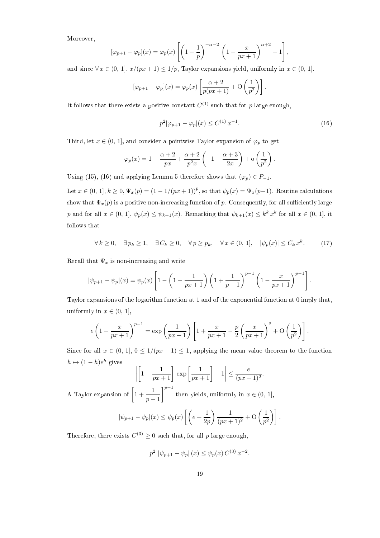Moreover,

$$
[\varphi_{p+1} - \varphi_p](x) = \varphi_p(x) \left[ \left( 1 - \frac{1}{p} \right)^{-\alpha - 2} \left( 1 - \frac{x}{px + 1} \right)^{\alpha + 2} - 1 \right],
$$

and since  $\forall x \in (0, 1], x/(px + 1) \leq 1/p$ , Taylor expansions yield, uniformly in  $x \in (0, 1]$ ,

$$
[\varphi_{p+1} - \varphi_p](x) = \varphi_p(x) \left[ \frac{\alpha + 2}{p(px+1)} + O\left(\frac{1}{p^2}\right) \right].
$$

It follows that there exists a positive constant  $C^{(1)}$  such that for p large enough,

$$
p^{2}|\varphi_{p+1} - \varphi_{p}|(x) \le C^{(1)} x^{-1}.
$$
\n(16)

Third, let  $x \in (0, 1]$ , and consider a pointwise Taylor expansion of  $\varphi_p$  to get

$$
\varphi_p(x) = 1 - \frac{\alpha + 2}{px} + \frac{\alpha + 2}{p^2 x} \left( -1 + \frac{\alpha + 3}{2x} \right) + o\left(\frac{1}{p^2}\right).
$$

Using (15), (16) and applying Lemma 5 therefore shows that  $(\varphi_p) \in P_{-1}$ .

Let  $x \in (0, 1], k \ge 0$ ,  $\Psi_x(p) = (1 - 1/(px + 1))^p$ , so that  $\psi_p(x) = \Psi_x(p-1)$ . Routine calculations show that  $\Psi_x(p)$  is a positive non-increasing function of p. Consequently, for all sufficiently large p and for all  $x \in (0, 1], \psi_p(x) \leq \psi_{k+1}(x)$ . Remarking that  $\psi_{k+1}(x) \leq k^k x^k$  for all  $x \in (0, 1]$ , it follows that

$$
\forall k \ge 0, \quad \exists p_k \ge 1, \quad \exists C_k \ge 0, \quad \forall p \ge p_k, \quad \forall x \in (0, 1], \quad |\psi_p(x)| \le C_k x^k. \tag{17}
$$

Recall that  $\Psi_x$  is non-increasing and write

$$
|\psi_{p+1} - \psi_p|(x) = \psi_p(x) \left[ 1 - \left( 1 - \frac{1}{px+1} \right) \left( 1 + \frac{1}{p-1} \right)^{p-1} \left( 1 - \frac{x}{px+1} \right)^{p-1} \right].
$$

Taylor expansions of the logarithm function at 1 and of the exponential function at 0 imply that, uniformly in  $x \in (0, 1]$ ,

$$
e\left(1 - \frac{x}{px + 1}\right)^{p-1} = \exp\left(\frac{1}{px + 1}\right)\left[1 + \frac{x}{px + 1} - \frac{p}{2}\left(\frac{x}{px + 1}\right)^2 + O\left(\frac{1}{p^2}\right)\right].
$$

Since for all  $x \in (0, 1], 0 \leq 1/(px + 1) \leq 1$ , applying the mean value theorem to the function  $h \mapsto (1 - h)e^{h}$  gives

$$
\left| \left[ 1 - \frac{1}{px + 1} \right] \exp \left[ \frac{1}{px + 1} \right] - 1 \right| \le \frac{e}{(px + 1)^2}
$$

.

A Taylor expansion of  $\left[1 + \frac{1}{\sqrt{1 - \frac{1}{\cdots}}} \right]$  $p-1$ then yields, uniformly in  $x \in (0, 1]$ ,

$$
|\psi_{p+1} - \psi_p|(x) \le \psi_p(x) \left[ \left( e + \frac{1}{2p} \right) \frac{1}{(px+1)^2} + O\left( \frac{1}{p^2} \right) \right].
$$

Therefore, there exists  $C^{(3)} \geq 0$  such that, for all  $p$  large enough,

$$
p^2 |\psi_{p+1} - \psi_p|(x) \le \psi_p(x) C^{(3)} x^{-2}.
$$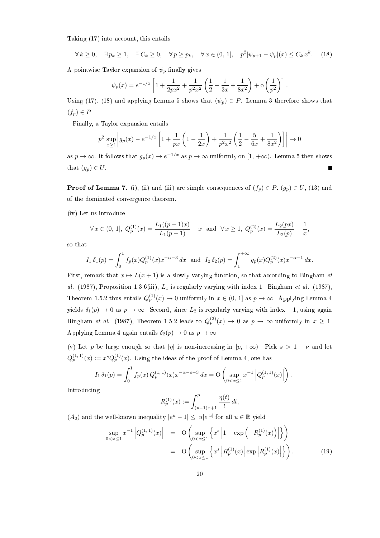Taking (17) into account, this entails

$$
\forall k \ge 0, \quad \exists p_k \ge 1, \quad \exists C_k \ge 0, \quad \forall p \ge p_k, \quad \forall x \in (0, 1], \quad p^2 |\psi_{p+1} - \psi_p|(x) \le C_k x^k. \tag{18}
$$

A pointwise Taylor expansion of  $\psi_p$  finally gives

$$
\psi_p(x) = e^{-1/x} \left[ 1 + \frac{1}{2px^2} + \frac{1}{p^2x^2} \left( \frac{1}{2} - \frac{1}{3x} + \frac{1}{8x^2} \right) + o\left( \frac{1}{p^2} \right) \right].
$$

Using (17), (18) and applying Lemma 5 shows that  $(\psi_p) \in P$ . Lemma 3 therefore shows that  $(f_p) \in P$ .

Finally, a Taylor expansion entails

$$
p^{2} \sup_{x \ge 1} \left| g_{p}(x) - e^{-1/x} \left[ 1 + \frac{1}{px} \left( 1 - \frac{1}{2x} \right) + \frac{1}{p^{2}x^{2}} \left( \frac{1}{2} - \frac{5}{6x} + \frac{1}{8x^{2}} \right) \right] \right| \to 0
$$

as  $p \to \infty$ . It follows that  $g_p(x) \to e^{-1/x}$  as  $p \to \infty$  uniformly on  $[1, +\infty)$ . Lemma 5 then shows that  $(g_p) \in U$ .

**Proof of Lemma 7.** (i), (ii) and (iii) are simple consequences of  $(f_p) \in P$ ,  $(g_p) \in U$ , (13) and of the dominated convergence theorem.

(iv) Let us introduce

$$
\forall x \in (0, 1], Q_p^{(1)}(x) = \frac{L_1((p-1)x)}{L_1(p-1)} - x \text{ and } \forall x \ge 1, Q_p^{(2)}(x) = \frac{L_2(px)}{L_2(p)} - \frac{1}{x},
$$

so that

$$
I_1 \,\delta_1(p) = \int_0^1 f_p(x) Q_p^{(1)}(x) x^{-\alpha - 3} \, dx \text{ and } I_2 \,\delta_2(p) = \int_1^{+\infty} g_p(x) Q_p^{(2)}(x) x^{-\alpha - 1} \, dx.
$$

First, remark that  $x \mapsto L(x + 1)$  is a slowly varying function, so that according to Bingham et al. (1987), Proposition 1.3.6(iii),  $L_1$  is regularly varying with index 1. Bingham et al. (1987), Theorem 1.5.2 thus entails  $Q_p^{(1)}(x) \to 0$  uniformly in  $x \in (0, 1]$  as  $p \to \infty$ . Applying Lemma 4 yields  $\delta_1(p)$  → 0 as  $p \to \infty$ . Second, since  $L_2$  is regularly varying with index -1, using again Bingham *et al.* (1987), Theorem 1.5.2 leads to  $Q_p^{(2)}(x) \to 0$  as  $p \to \infty$  uniformly in  $x \ge 1$ . Applying Lemma 4 again entails  $\delta_2(p) \to 0$  as  $p \to \infty$ .

(v) Let p be large enough so that  $|\eta|$  is non-increasing in  $[p, +\infty)$ . Pick  $s > 1 - \nu$  and let  $Q_p^{(1,1)}(x) := x^s Q_p^{(1)}(x)$ . Using the ideas of the proof of Lemma 4, one has

$$
I_1 \,\delta_1(p) = \int_0^1 f_p(x) \, Q_p^{(1,1)}(x) x^{-\alpha - s - 3} \, dx = \mathcal{O}\left(\sup_{0 < x \le 1} x^{-1} \left| Q_p^{(1,1)}(x) \right| \right).
$$

Introducing

$$
R_p^{(1)}(x) := \int_{(p-1)x+1}^p \frac{\eta(t)}{t} dt,
$$

 $(A_2)$  and the well-known inequality  $|e^u - 1| \leq |u|e^{|u|}$  for all  $u \in \mathbb{R}$  yield

$$
\sup_{0 < x \le 1} x^{-1} \left| Q_p^{(1,1)}(x) \right| = O\left( \sup_{0 < x \le 1} \left\{ x^s \left| 1 - \exp\left( -R_p^{(1)}(x) \right) \right| \right\} \right)
$$
\n
$$
= O\left( \sup_{0 < x \le 1} \left\{ x^s \left| R_p^{(1)}(x) \right| \exp\left| R_p^{(1)}(x) \right| \right\} \right). \tag{19}
$$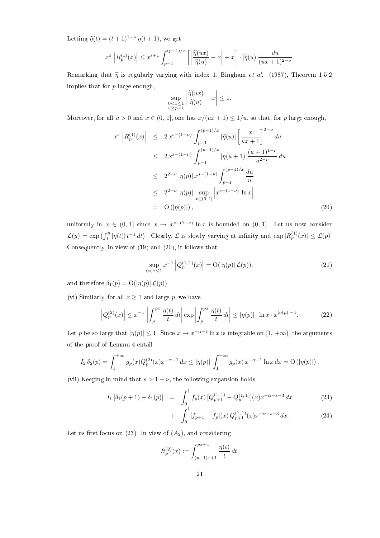Letting  $\widetilde{\eta}(t) = (t+1)^{1-\nu} \eta(t+1)$ , we get

$$
x^s \left| R_p^{(1)}(x) \right| \leq x^{s+1} \int_{p-1}^{(p-1)/x} \left[ \left| \frac{\widetilde{\eta}(ux)}{\widetilde{\eta}(u)} - x \right| + x \right] \cdot |\widetilde{\eta}(u)| \frac{du}{(ux+1)^{2-\nu}}.
$$

Remarking that  $\tilde{\eta}$  is regularly varying with index 1, Bingham *et al.* (1987), Theorem 1.5.2 implies that for  $p$  large enough,

$$
\sup_{\substack{0 < x \le 1 \\ u \ge p-1}} \left| \frac{\widetilde{\eta}(ux)}{\widetilde{\eta}(u)} - x \right| \le 1.
$$

Moreover, for all  $u > 0$  and  $x \in (0, 1]$ , one has  $x/(ux + 1) \leq 1/u$ , so that, for p large enough,

$$
x^{s} \left| R_{p}^{(1)}(x) \right| \leq 2 x^{s - (1 - \nu)} \int_{p-1}^{(p-1)/x} |\widetilde{\eta}(u)| \left[ \frac{x}{ux + 1} \right]^{2 - \nu} du
$$
  
\n
$$
\leq 2 x^{s - (1 - \nu)} \int_{p-1}^{(p-1)/x} |\eta(u + 1)| \frac{(u + 1)^{1 - \nu}}{u^{2 - \nu}} du
$$
  
\n
$$
\leq 2^{2 - \nu} |\eta(p)| x^{s - (1 - \nu)} \int_{p-1}^{(p-1)/x} \frac{du}{u}
$$
  
\n
$$
\leq 2^{2 - \nu} |\eta(p)| \sup_{x \in (0, 1]} \left| x^{s - (1 - \nu)} \ln x \right|
$$
  
\n
$$
= O(|\eta(p)|), \qquad (20)
$$

uniformly in  $x \in (0, 1]$  since  $x \mapsto x^{s-(1-\nu)} \ln x$  is bounded on  $(0, 1]$ . Let us now consider  $\mathcal{L}(y) = \exp\left(\int_1^y |\eta(t)| t^{-1} dt\right)$ . Clearly,  $\mathcal{L}$  is slowly varying at infinity and  $\exp\left(R_p^{(1)}(x)\right) \leq \mathcal{L}(p)$ . Consequently, in view of (19) and (20), it follows that

$$
\sup_{0 < x \le 1} x^{-1} \left| Q_p^{(1,1)}(x) \right| = \mathcal{O}(|\eta(p)| \mathcal{L}(p)),\tag{21}
$$

and therefore  $\delta_1(p) = \mathrm{O}(|\eta(p)| \mathcal{L}(p)).$ 

(vi) Similarly, for all  $x \ge 1$  and large p, we have

$$
\left| Q_p^{(2)}(x) \right| \le x^{-1} \left| \int_p^{px} \frac{\eta(t)}{t} dt \right| \exp \left| \int_p^{px} \frac{\eta(t)}{t} dt \right| \le |\eta(p)| \cdot \ln x \cdot x^{|\eta(p)| - 1}.
$$
 (22)

Let p be so large that  $|\eta(p)| \leq 1$ . Since  $x \mapsto x^{-\alpha-1} \ln x$  is integrable on  $[1, +\infty)$ , the arguments of the proof of Lemma 4 entail

$$
I_2 \,\delta_2(p) = \int_1^{+\infty} g_p(x) Q_p^{(2)}(x) x^{-\alpha-1} \, dx \leq |\eta(p)| \int_1^{+\infty} g_p(x) \, x^{-\alpha-1} \ln x \, dx = O\left(|\eta(p)|\right).
$$

(vii) Keeping in mind that  $s > 1 - \nu$ , the following expansion holds

$$
I_1\left[\delta_1(p+1) - \delta_1(p)\right] = \int_0^1 f_p(x) \left[Q_{p+1}^{(1,1)} - Q_p^{(1,1)}\right](x) x^{-\alpha - s - 3} dx \tag{23}
$$

+ 
$$
\int_0^1 [f_{p+1} - f_p](x) Q_{p+1}^{(1,1)}(x) x^{-\alpha - s - 3} dx.
$$
 (24)

Let us first focus on (23). In view of  $(A_2)$ , and considering

$$
R_p^{(2)}(x) := \int_{(p-1)x+1}^{px+1} \frac{\eta(t)}{t} dt,
$$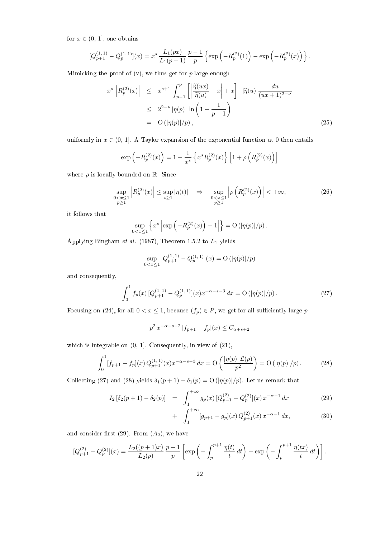for  $x \in (0, 1]$ , one obtains

$$
[Q_{p+1}^{(1,1)} - Q_p^{(1,1)}](x) = x^s \frac{L_1(px)}{L_1(p-1)} \frac{p-1}{p} \left\{ \exp\left(-R_p^{(2)}(1)\right) - \exp\left(-R_p^{(2)}(x)\right) \right\}.
$$

Mimicking the proof of  $(v)$ , we thus get for p large enough

$$
x^{s} \left| R_{p}^{(2)}(x) \right| \leq x^{s+1} \int_{p-1}^{p} \left[ \left| \frac{\widetilde{\eta}(ux)}{\widetilde{\eta}(u)} - x \right| + x \right] \cdot |\widetilde{\eta}(u)| \frac{du}{(ux+1)^{2-\nu}}
$$
  

$$
\leq 2^{2-\nu} |\eta(p)| \ln \left( 1 + \frac{1}{p-1} \right)
$$
  

$$
= O(|\eta(p)|/p), \qquad (25)
$$

uniformly in  $x \in (0, 1]$ . A Taylor expansion of the exponential function at 0 then entails

$$
\exp\left(-R_p^{(2)}(x)\right) = 1 - \frac{1}{x^s} \left\{ x^s R_p^{(2)}(x) \right\} \left[ 1 + \rho \left( R_p^{(2)}(x) \right) \right]
$$

where  $\rho$  is locally bounded on  $\mathbb R$ . Since

$$
\sup_{\substack{0 < x \le 1 \\ p \ge 1}} \left| R_p^{(2)}(x) \right| \le \sup_{t \ge 1} |\eta(t)| \quad \Rightarrow \quad \sup_{\substack{0 < x \le 1 \\ p \ge 1}} \left| \rho \left( R_p^{(2)}(x) \right) \right| < +\infty,\tag{26}
$$

it follows that

$$
\sup_{0
$$

Applying Bingham et al. (1987), Theorem 1.5.2 to  $L_1$  yields

$$
\sup_{0 < x \le 1} |Q_{p+1}^{(1,1)} - Q_p^{(1,1)}|(x) = \mathcal{O}\left(|\eta(p)|/p\right)
$$

and consequently,

$$
\int_0^1 f_p(x) \left[ Q_{p+1}^{(1,1)} - Q_p^{(1,1)} \right](x) x^{-\alpha - s - 3} \, dx = \mathcal{O}\left( |\eta(p)|/p \right). \tag{27}
$$

Focusing on (24), for all  $0 < x \le 1$ , because  $(f_p) \in P$ , we get for all sufficiently large p

$$
p^2 x^{-\alpha - s - 2} |f_{p+1} - f_p|(x) \le C_{\alpha + s + 2}
$$

which is integrable on  $(0, 1]$ . Consequently, in view of  $(21)$ ,

$$
\int_0^1 [f_{p+1} - f_p](x) Q_{p+1}^{(1,1)}(x) x^{-\alpha - s - 3} dx = O\left(\frac{|\eta(p)| \mathcal{L}(p)}{p^2}\right) = O\left(|\eta(p)|/p\right).
$$
 (28)

Collecting (27) and (28) yields  $\delta_1(p+1) - \delta_1(p) = O(|\eta(p)|/p)$ . Let us remark that

$$
I_2\left[\delta_2(p+1) - \delta_2(p)\right] = \int_1^{+\infty} g_p(x) \left[Q_{p+1}^{(2)} - Q_p^{(2)}\right](x) x^{-\alpha - 1} dx \tag{29}
$$

+ 
$$
\int_{1}^{+\infty} [g_{p+1} - g_p](x) Q_{p+1}^{(2)}(x) x^{-\alpha - 1} dx,
$$
 (30)

and consider first  $(29)$ . From  $(A_2)$ , we have

$$
[Q_{p+1}^{(2)} - Q_p^{(2)}](x) = \frac{L_2((p+1)x)}{L_2(p)} \frac{p+1}{p} \left[ \exp\left(-\int_p^{p+1} \frac{\eta(t)}{t} dt\right) - \exp\left(-\int_p^{p+1} \frac{\eta(tx)}{t} dt\right) \right].
$$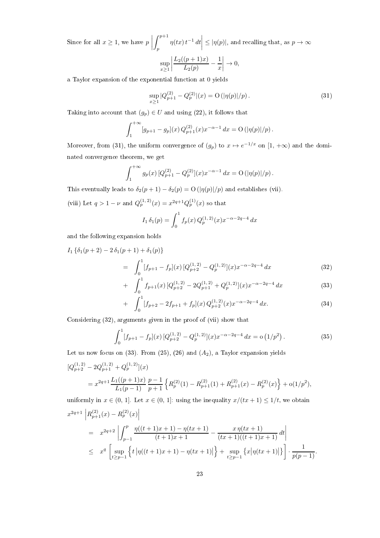Since for all  $x\geq 1,$  we have  $p$   $\int$ <sup> $p+1$ </sup> p  $\eta(tx) t^{-1} dt$  $\begin{array}{|c|c|} \hline \multicolumn{1}{|c|}{3} & \multicolumn{1}{|c|}{4} \multicolumn{1}{|c|}{5} \multicolumn{1}{|c|}{6} \multicolumn{1}{|c|}{6} \multicolumn{1}{|c|}{6} \multicolumn{1}{|c|}{6} \multicolumn{1}{|c|}{6} \multicolumn{1}{|c|}{6} \multicolumn{1}{|c|}{6} \multicolumn{1}{|c|}{6} \multicolumn{1}{|c|}{6} \multicolumn{1}{|c|}{6} \multicolumn{1}{|c|}{6} \multicolumn{1}{|c|}{6} \multicolumn{1}{|c|$  $\leq$  | $\eta(p)$ |, and recalling that, as  $p \to \infty$  $\sup_{x\geq 1}$   $L_2((p+1)x)$  $\frac{(p+1)x)}{L_2(p)} - \frac{1}{x}$  $\boldsymbol{x}$   $\rightarrow 0,$ 

a Taylor expansion of the exponential function at 0 yields

$$
\sup_{x\geq 1} |Q_{p+1}^{(2)} - Q_p^{(2)}|(x) = O(|\eta(p)|/p). \tag{31}
$$

Taking into account that  $(g_p) \in U$  and using (22), it follows that

$$
\int_{1}^{+\infty} [g_{p+1} - g_p](x) Q_{p+1}^{(2)}(x) x^{-\alpha-1} dx = O(|\eta(p)|/p).
$$

Moreover, from (31), the uniform convergence of  $(g_p)$  to  $x \mapsto e^{-1/x}$  on  $[1, +\infty)$  and the dominated convergence theorem, we get

$$
\int_{1}^{+\infty} g_p(x) \left[ Q_{p+1}^{(2)} - Q_p^{(2)} \right](x) x^{-\alpha - 1} \, dx = \mathcal{O} \left( \left| \eta(p) \right| / p \right).
$$

This eventually leads to  $\delta_2(p+1) - \delta_2(p) = O(|\eta(p)|/p)$  and establishes (vii).

(viii) Let  $q > 1 - \nu$  and  $Q_p^{(1,2)}(x) = x^{2q+1} Q_p^{(1)}(x)$  so that

$$
I_1 \,\delta_1(p) = \int_0^1 f_p(x) \, Q_p^{(1,\,2)}(x) x^{-\alpha - 2q - 4} \, dx
$$

and the following expansion holds

$$
I_1 \left\{ \delta_1(p+2) - 2 \delta_1(p+1) + \delta_1(p) \right\}
$$
  
= 
$$
\int_0^1 [f_{p+1} - f_p](x) \left[ Q_{p+2}^{(1,2)} - Q_p^{(1,2)} \right](x) x^{-\alpha - 2q - 4} dx
$$
 (32)  

$$
\int_0^1 f_{p+1}(\cdot) \left[ Q_{p+2}^{(1,2)} - Q_p^{(1,2)} \right](x) dx^{-\alpha - 2q - 4} dx
$$
 (33)

+ 
$$
\int_0^1 f_{p+1}(x) \left[ Q_{p+2}^{(1,2)} - 2Q_{p+1}^{(1,2)} + Q_p^{(1,2)} \right](x) x^{-\alpha - 2q - 4} dx
$$
 (33)

+ 
$$
\int_0^1 [f_{p+2} - 2f_{p+1} + f_p](x) Q_{p+2}^{(1,2)}(x) x^{-\alpha - 2q - 4} dx.
$$
 (34)

Considering (32), arguments given in the proof of (vii) show that

$$
\int_0^1 [f_{p+1} - f_p](x) \left[ Q_{p+2}^{(1,2)} - Q_p^{(1,2)} \right](x) x^{-\alpha - 2q - 4} dx = o\left(1/p^2\right). \tag{35}
$$

Let us now focus on  $(33)$ . From  $(25)$ ,  $(26)$  and  $(A_2)$ , a Taylor expansion yields

$$
[Q_{p+2}^{(1,2)} - 2Q_{p+1}^{(1,2)} + Q_p^{(1,2)}](x)
$$
  
=  $x^{2q+1} \frac{L_1((p+1)x)}{L_1(p-1)} \frac{p-1}{p+1} \left\{ R_p^{(2)}(1) - R_{p+1}^{(2)}(1) + R_{p+1}^{(2)}(x) - R_p^{(2)}(x) \right\} + o(1/p^2),$ 

uniformly in  $x \in (0, 1]$ . Let  $x \in (0, 1]$ : using the inequality  $x/(tx + 1) \leq 1/t$ , we obtain

$$
x^{2q+1} | R_{p+1}^{(2)}(x) - R_p^{(2)}(x) |
$$
  
=  $x^{2q+2} \left| \int_{p-1}^p \frac{\eta((t+1)x+1) - \eta(tx+1)}{(t+1)x+1} - \frac{x\eta(tx+1)}{(tx+1)((t+1)x+1)} dt \right|$   
 $\leq x^q \left[ \sup_{t \geq p-1} \left\{ t \left| \eta((t+1)x+1) - \eta(tx+1) \right| \right\} + \sup_{t \geq p-1} \left\{ x \left| \eta(tx+1) \right| \right\} \right] \cdot \frac{1}{p(p-1)}.$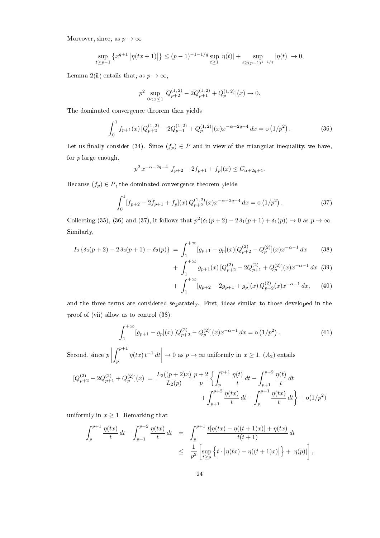Moreover, since, as  $p \to \infty$ 

$$
\sup_{t\geq p-1} \left\{ x^{q+1} \left| \eta(tx+1) \right| \right\} \leq (p-1)^{-1-1/q} \sup_{t\geq 1} |\eta(t)| + \sup_{t\geq (p-1)^{1-1/q}} |\eta(t)| \to 0,
$$

Lemma 2(ii) entails that, as  $p \to \infty$ ,

$$
p^2 \sup_{0 < x \le 1} |Q_{p+2}^{(1, 2)} - 2Q_{p+1}^{(1, 2)} + Q_p^{(1, 2)}|(x) \to 0.
$$

The dominated convergence theorem then yields

$$
\int_0^1 f_{p+1}(x) \left[ Q_{p+2}^{(1,2)} - 2Q_{p+1}^{(1,2)} + Q_p^{(1,2)} \right](x) x^{-\alpha - 2q - 4} \, dx = \mathcal{O} \left( 1/p^2 \right). \tag{36}
$$

Let us finally consider (34). Since  $(f_p) \in P$  and in view of the triangular inequality, we have, for  $p$  large enough,

$$
p^{2} x^{-\alpha - 2q - 4} |f_{p+2} - 2f_{p+1} + f_{p} |(x) \le C_{\alpha + 2q + 4}.
$$

Because  $(f_p) \in P$ , the dominated convergence theorem yields

$$
\int_0^1 [f_{p+2} - 2f_{p+1} + f_p](x) Q_{p+2}^{(1,2)}(x) x^{-\alpha - 2q - 4} dx = o(1/p^2).
$$
 (37)

Collecting (35), (36) and (37), it follows that  $p^2(\delta_1(p+2)-2\delta_1(p+1)+\delta_1(p))\to 0$  as  $p\to\infty$ . Similarly,

$$
I_2 \left\{ \delta_2(p+2) - 2 \delta_2(p+1) + \delta_2(p) \right\} \ = \ \int_1^{+\infty} [g_{p+1} - g_p](x) [Q_{p+2}^{(2)} - Q_p^{(2)}](x) x^{-\alpha - 1} \, dx \tag{38}
$$

$$
\int_{1}^{+\infty} g_{p+1}(x) \left[ Q_{p+2}^{(2)} - 2Q_{p+1}^{(2)} + Q_p^{(2)} \right](x) x^{-\alpha - 1} \, dx \tag{39}
$$

$$
+\int_{1}^{+\infty} [g_{p+2} - 2g_{p+1} + g_p](x) Q_{p+2}^{(2)}(x) x^{-\alpha - 1} dx, \qquad (40)
$$

and the three terms are considered separately. First, ideas similar to those developed in the proof of (vii) allow us to control (38):

$$
\int_{1}^{+\infty} [g_{p+1} - g_p](x) \left[ Q_{p+2}^{(2)} - Q_p^{(2)} \right](x) x^{-\alpha - 1} \, dx = o\left( 1/p^2 \right). \tag{41}
$$

 $\rm Second,\,since\,\,p$   $\int$  $p+1$ p  $\eta(tx) t^{-1} dt$   $\rightarrow 0$  as  $p \rightarrow \infty$  uniformly in  $x \ge 1$ ,  $(A_2)$  entails

 $^{+}$ 

$$
[Q_{p+2}^{(2)} - 2Q_{p+1}^{(2)} + Q_p^{(2)}](x) = \frac{L_2((p+2)x)}{L_2(p)} \frac{p+2}{p} \left\{ \int_p^{p+1} \frac{\eta(t)}{t} dt - \int_{p+1}^{p+2} \frac{\eta(t)}{t} dt \right\} + O(1/p^2)
$$
  
+ 
$$
\int_{p+1}^{p+2} \frac{\eta(tx)}{t} dt - \int_p^{p+1} \frac{\eta(tx)}{t} dt \right\} + O(1/p^2)
$$

uniformly in  $x \geq 1$ . Remarking that

$$
\int_{p}^{p+1} \frac{\eta(tx)}{t} dt - \int_{p+1}^{p+2} \frac{\eta(tx)}{t} dt = \int_{p}^{p+1} \frac{t[\eta(tx) - \eta((t+1)x)] + \eta(tx)}{t(t+1)} dt
$$
  

$$
\leq \frac{1}{p^{2}} \left[ \sup_{t \geq p} \left\{ t \cdot |\eta(tx) - \eta((t+1)x)| \right\} + |\eta(p)| \right],
$$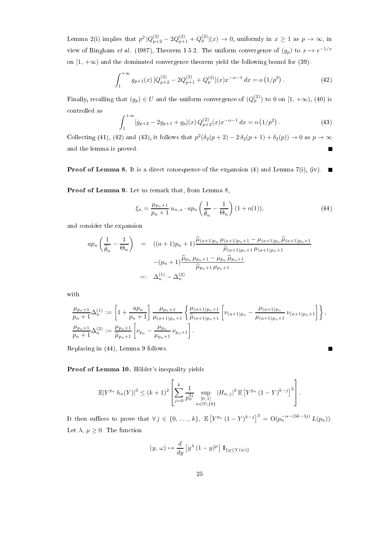Lemma 2(i) implies that  $p^2 |Q_{p+2}^{(2)} - 2Q_{p+1}^{(2)} + Q_p^{(2)}|(x) \to 0$ , uniformly in  $x \ge 1$  as  $p \to \infty$ , in view of Bingham *et al.* (1987), Theorem 1.5.2. The uniform convergence of  $(g_p)$  to  $x \mapsto e^{-1/x}$ on  $[1, +\infty)$  and the dominated convergence theorem yield the following bound for (39):

$$
\int_{1}^{+\infty} g_{p+1}(x) \left[ Q_{p+2}^{(2)} - 2Q_{p+1}^{(2)} + Q_p^{(2)} \right](x) x^{-\alpha - 1} \, dx = o\left(1/p^2\right). \tag{42}
$$

Finally, recalling that  $(g_p) \in U$  and the uniform convergence of  $(Q_p^{(2)})$  to 0 on  $[1, +\infty)$ , (40) is controlled as

$$
\int_{1}^{+\infty} [g_{p+2} - 2g_{p+1} + g_p](x) Q_{p+2}^{(2)}(x) x^{-\alpha - 1} dx = o(1/p^2).
$$
 (43)

Collecting (41), (42) and (43), it follows that  $p^2(\delta_2(p+2) - 2\delta_2(p+1) + \delta_2(p)) \to 0$  as  $p \to \infty$ and the lemma is proved.  $\blacksquare$ 

**Proof of Lemma 8.** It is a direct consequence of the expansion (4) and Lemma 7(i), (iv).  $\blacksquare$ 

Proof of Lemma 9. Let us remark that, from Lemma 8,

$$
\xi_n = \frac{\mu_{p_n+1}}{p_n+1} u_{n,a} \cdot ap_n \left(\frac{1}{\hat{\theta}_n} - \frac{1}{\Theta_n}\right) (1 + o(1)),\tag{44}
$$

and consider the expansion

$$
ap_n\left(\frac{1}{\hat{\theta}_n} - \frac{1}{\Theta_n}\right) = ((a+1)p_n + 1)\frac{\hat{\mu}_{(a+1)p_n}\mu_{(a+1)p_n+1} - \mu_{(a+1)p_n}\hat{\mu}_{(a+1)p_n+1}}{\hat{\mu}_{(a+1)p_n+1}\mu_{(a+1)p_n+1}} - (p_n + 1)\frac{\hat{\mu}_{p_n}\mu_{p_n+1} - \mu_{p_n}\hat{\mu}_{p_n+1}}{\hat{\mu}_{p_n+1}\mu_{p_n+1}}
$$
  
=:  $\Delta_n^{(1)} - \Delta_n^{(2)}$ 

with

$$
\frac{\mu_{p_n+1}}{p_n+1} \Delta_n^{(1)} := \left[1 + \frac{ap_n}{p_n+1}\right] \frac{\mu_{p_n+1}}{\mu_{(a+1)p_n+1}} \left\{\frac{\mu_{(a+1)p_n+1}}{\hat{\mu}_{(a+1)p_n+1}} \left[\nu_{(a+1)p_n} - \frac{\mu_{(a+1)p_n}}{\mu_{(a+1)p_n+1}} \nu_{(a+1)p_n+1}\right] \right\},
$$
\n
$$
\frac{\mu_{p_n+1}}{p_n+1} \Delta_n^{(2)} := \frac{\mu_{p_n+1}}{\hat{\mu}_{p_n+1}} \left[\nu_{p_n} - \frac{\mu_{p_n}}{\mu_{p_n+1}} \nu_{p_n+1}\right].
$$

Replacing in (44), Lemma 9 follows.

Proof of Lemma 10. Hölder's inequality yields

$$
\mathbb{E}|Y^{p_n} h_n(Y)|^3 \le (k+1)^2 \left[ \sum_{j=0}^k \frac{1}{p_n^{3j}} \sup_{\substack{[0,1] \\ n \in \mathbb{N} \setminus \{0\}}} |H_{n,j}|^3 \mathbb{E}\left[ Y^{p_n} (1-Y)^{k-j} \right]^3 \right].
$$

It then suffices to prove that  $\forall j \in \{0, ..., k\}, \mathbb{E}\left[Y^{p_n}(1-Y)^{k-j}\right]^3 = O(p_n^{-\alpha-(3k-3j)} L(p_n)).$ Let  $\lambda, \mu \geq 0$ . The function

$$
(y, \omega) \mapsto \frac{d}{dy} \left[ y^{\lambda} \left( 1 - y \right)^{\mu} \right] \mathbb{1}_{\{y \le Y(w)\}}
$$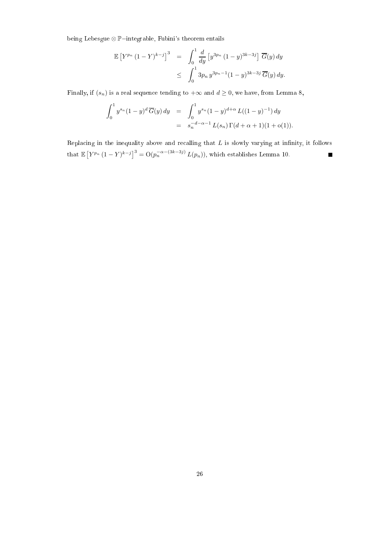being Lebesgue ⊗ P−integrable, Fubini's theorem entails

$$
\mathbb{E}\left[Y^{p_n}(1-Y)^{k-j}\right]^3 = \int_0^1 \frac{d}{dy} \left[y^{3p_n}(1-y)^{3k-3j}\right] \overline{G}(y) dy
$$
  

$$
\leq \int_0^1 3p_n y^{3p_n-1}(1-y)^{3k-3j} \overline{G}(y) dy.
$$

Finally, if  $(s_n)$  is a real sequence tending to  $+\infty$  and  $d \ge 0$ , we have, from Lemma 8,

$$
\int_0^1 y^{s_n} (1-y)^d \overline{G}(y) dy = \int_0^1 y^{s_n} (1-y)^{d+\alpha} L((1-y)^{-1}) dy
$$
  
=  $s_n^{-d-\alpha-1} L(s_n) \Gamma(d+\alpha+1) (1+o(1)).$ 

Replacing in the inequality above and recalling that  $L$  is slowly varying at infinity, it follows that  $\mathbb{E}\left[Y^{p_n}(1-Y)^{k-j}\right]^3 = \mathcal{O}(p_n^{-\alpha-(3k-3j)} L(p_n))$ , which establishes Lemma 10.  $\blacksquare$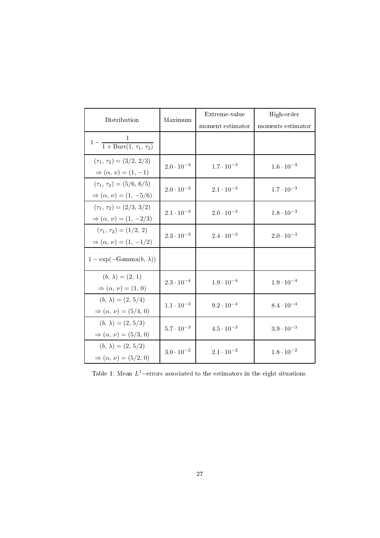| Distribution                                                               | Maximum             | Extreme-value       | High-order          |
|----------------------------------------------------------------------------|---------------------|---------------------|---------------------|
|                                                                            |                     | moment estimator    | moments estimator   |
| $1 - \frac{1}{1 + \text{Burr}(1, \tau_1, \tau_2)}$                         |                     |                     |                     |
| $(\tau_1, \tau_2) = (3/2, 2/3)$<br>$\Rightarrow (\alpha, \nu) = (1, -1)$   | $2.0 \cdot 10^{-3}$ | $1.7 \cdot 10^{-3}$ | $1.6 \cdot 10^{-3}$ |
| $(\tau_1, \tau_2) = (5/6, 6/5)$<br>$\Rightarrow (\alpha, \nu) = (1, -5/6)$ | $2.0 \cdot 10^{-3}$ | $2.1 \cdot 10^{-3}$ | $1.7 \cdot 10^{-3}$ |
| $(\tau_1, \tau_2) = (2/3, 3/2)$<br>$\Rightarrow (\alpha, \nu) = (1, -2/3)$ | $2.1 \cdot 10^{-3}$ | $2.0 \cdot 10^{-3}$ | $1.8 \cdot 10^{-3}$ |
| $(\tau_1, \tau_2) = (1/2, 2)$<br>$\Rightarrow (\alpha, \nu) = (1, -1/2)$   | $2.3 \cdot 10^{-3}$ | $2.4 \cdot 10^{-3}$ | $2.0 \cdot 10^{-3}$ |
| $1 - \exp(-\text{Gamma}(b, \lambda))$                                      |                     |                     |                     |
| $(b, \lambda) = (2, 1)$<br>$\Rightarrow (\alpha, \nu) = (1, 0)$            | $2.3 \cdot 10^{-4}$ | $1.9 \cdot 10^{-4}$ | $1.9 \cdot 10^{-4}$ |
| $(b, \lambda) = (2, 5/4)$<br>$\Rightarrow (\alpha, \nu) = (5/4, 0)$        | $1.1 \cdot 10^{-3}$ | $9.2 \cdot 10^{-4}$ | $8.4 \cdot 10^{-4}$ |
| $(b, \lambda) = (2, 5/3)$<br>$\Rightarrow (\alpha, \nu) = (5/3, 0)$        | $5.7 \cdot 10^{-3}$ | $4.5 \cdot 10^{-3}$ | $3.9 \cdot 10^{-3}$ |
| $(b, \lambda) = (2, 5/2)$<br>$\Rightarrow (\alpha, \nu) = (5/2, 0)$        | $3.0 \cdot 10^{-2}$ | $2.1 \cdot 10^{-2}$ | $1.8 \cdot 10^{-2}$ |

Table 1: Mean  $L^1$ -errors associated to the estimators in the eight situations.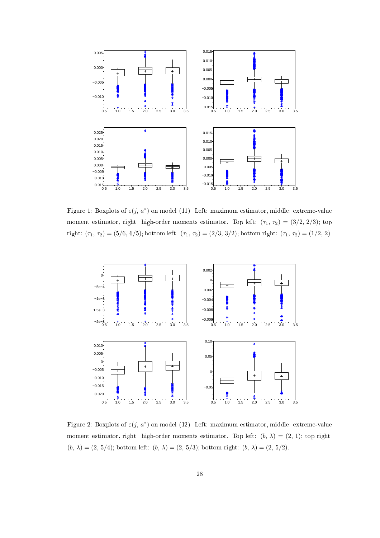

Figure 1: Boxplots of  $\varepsilon(j, a^*)$  on model (11). Left: maximum estimator, middle: extreme-value moment estimator, right: high-order moments estimator. Top left:  $(\tau_1, \tau_2) = (3/2, 2/3)$ ; top right:  $(\tau_1, \tau_2) = (5/6, 6/5)$ ; bottom left:  $(\tau_1, \tau_2) = (2/3, 3/2)$ ; bottom right:  $(\tau_1, \tau_2) = (1/2, 2)$ .



Figure 2: Boxplots of  $\varepsilon(j, a^*)$  on model (12). Left: maximum estimator, middle: extreme-value moment estimator, right: high-order moments estimator. Top left:  $(b, \lambda) = (2, 1)$ ; top right:  $(b, \lambda) = (2, 5/4)$ ; bottom left:  $(b, \lambda) = (2, 5/3)$ ; bottom right:  $(b, \lambda) = (2, 5/2)$ .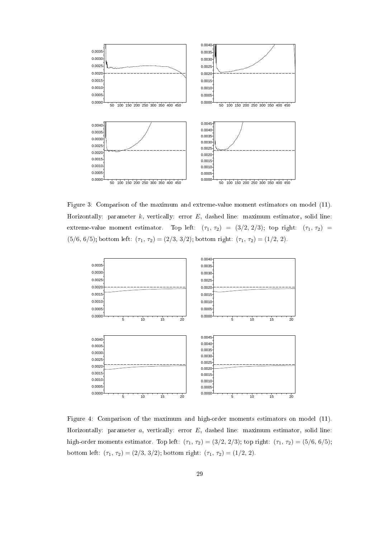

Figure 3: Comparison of the maximum and extreme-value moment estimators on model (11). Horizontally: parameter  $k$ , vertically: error  $E$ , dashed line: maximum estimator, solid line: extreme-value moment estimator. Top left:  $(\tau_1, \tau_2) = (3/2, 2/3)$ ; top right:  $(\tau_1, \tau_2) =$ (5/6, 6/5); bottom left:  $(\tau_1, \tau_2) = (2/3, 3/2)$ ; bottom right:  $(\tau_1, \tau_2) = (1/2, 2)$ .



Figure 4: Comparison of the maximum and high-order moments estimators on model (11). Horizontally: parameter  $a$ , vertically: error  $E$ , dashed line: maximum estimator, solid line: high-order moments estimator. Top left:  $(\tau_1, \tau_2) = (3/2, 2/3)$ ; top right:  $(\tau_1, \tau_2) = (5/6, 6/5)$ ; bottom left:  $(\tau_1, \tau_2) = (2/3, 3/2)$ ; bottom right:  $(\tau_1, \tau_2) = (1/2, 2)$ .